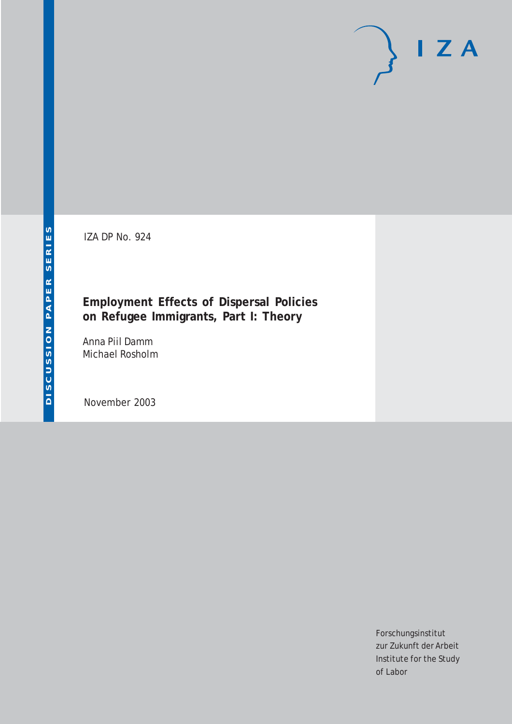IZA DP No. 924

## **Employment Effects of Dispersal Policies on Refugee Immigrants, Part I: Theory**

Anna Piil Damm Michael Rosholm

November 2003

Forschungsinstitut zur Zukunft der Arbeit Institute for the Study of Labor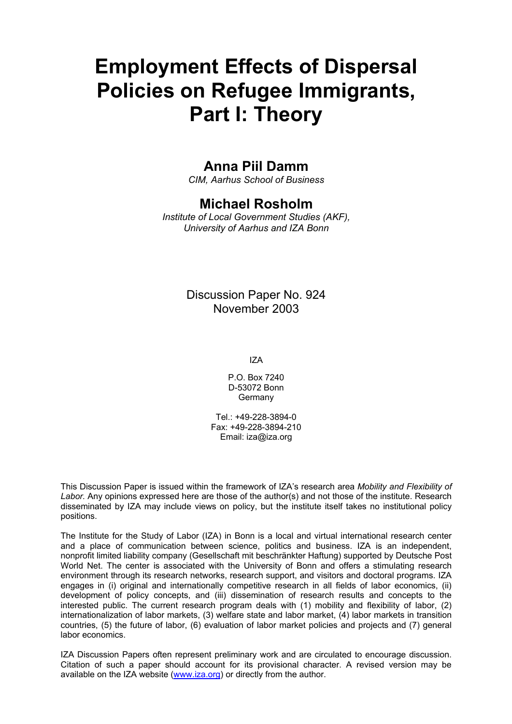# **Employment Effects of Dispersal Policies on Refugee Immigrants, Part I: Theory**

### **Anna Piil Damm**

*CIM, Aarhus School of Business* 

### **Michael Rosholm**

*Institute of Local Government Studies (AKF), University of Aarhus and IZA Bonn*

#### Discussion Paper No. 924 November 2003

IZA

P.O. Box 7240 D-53072 Bonn Germany

Tel.: +49-228-3894-0 Fax: +49-228-3894-210 Email: [iza@iza.org](mailto:iza@iza.org)

This Discussion Paper is issued within the framework of IZA's research area *Mobility and Flexibility of Labor.* Any opinions expressed here are those of the author(s) and not those of the institute. Research disseminated by IZA may include views on policy, but the institute itself takes no institutional policy positions.

The Institute for the Study of Labor (IZA) in Bonn is a local and virtual international research center and a place of communication between science, politics and business. IZA is an independent, nonprofit limited liability company (Gesellschaft mit beschränkter Haftung) supported by Deutsche Post World Net. The center is associated with the University of Bonn and offers a stimulating research environment through its research networks, research support, and visitors and doctoral programs. IZA engages in (i) original and internationally competitive research in all fields of labor economics, (ii) development of policy concepts, and (iii) dissemination of research results and concepts to the interested public. The current research program deals with (1) mobility and flexibility of labor, (2) internationalization of labor markets, (3) welfare state and labor market, (4) labor markets in transition countries, (5) the future of labor, (6) evaluation of labor market policies and projects and (7) general labor economics.

IZA Discussion Papers often represent preliminary work and are circulated to encourage discussion. Citation of such a paper should account for its provisional character. A revised version may be available on the IZA website ([www.iza.org](http://www.iza.org/)) or directly from the author.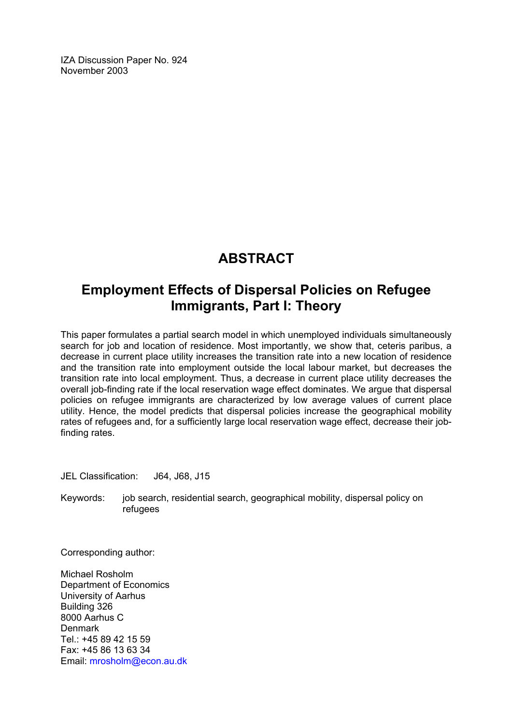IZA Discussion Paper No. 924 November 2003

# **ABSTRACT**

# **Employment Effects of Dispersal Policies on Refugee Immigrants, Part I: Theory**

This paper formulates a partial search model in which unemployed individuals simultaneously search for job and location of residence. Most importantly, we show that, ceteris paribus, a decrease in current place utility increases the transition rate into a new location of residence and the transition rate into employment outside the local labour market, but decreases the transition rate into local employment. Thus, a decrease in current place utility decreases the overall job-finding rate if the local reservation wage effect dominates. We argue that dispersal policies on refugee immigrants are characterized by low average values of current place utility. Hence, the model predicts that dispersal policies increase the geographical mobility rates of refugees and, for a sufficiently large local reservation wage effect, decrease their jobfinding rates.

JEL Classification: J64, J68, J15

Keywords: job search, residential search, geographical mobility, dispersal policy on refugees

Corresponding author:

Michael Rosholm Department of Economics University of Aarhus Building 326 8000 Aarhus C Denmark Tel.: +45 89 42 15 59 Fax: +45 86 13 63 34 Email: [mrosholm@econ.au.dk](mailto:mrosholm@econ.au.dk)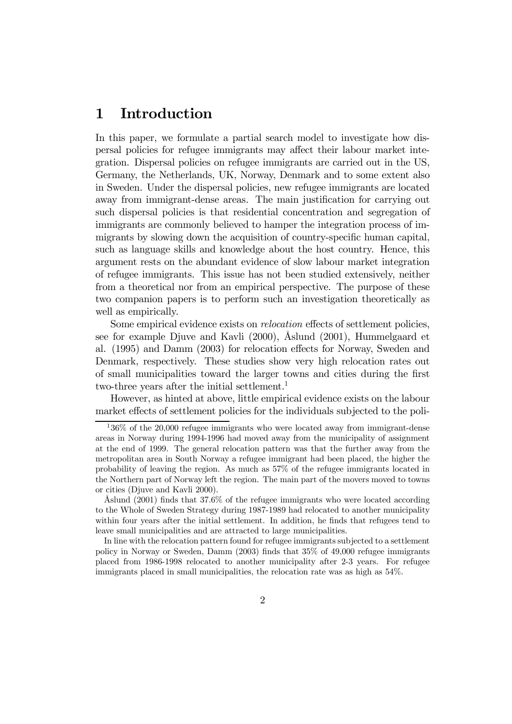#### 1 Introduction

In this paper, we formulate a partial search model to investigate how dispersal policies for refugee immigrants may affect their labour market integration. Dispersal policies on refugee immigrants are carried out in the US, Germany, the Netherlands, UK, Norway, Denmark and to some extent also in Sweden. Under the dispersal policies, new refugee immigrants are located away from immigrant-dense areas. The main justification for carrying out such dispersal policies is that residential concentration and segregation of immigrants are commonly believed to hamper the integration process of immigrants by slowing down the acquisition of country-specific human capital, such as language skills and knowledge about the host country. Hence, this argument rests on the abundant evidence of slow labour market integration of refugee immigrants. This issue has not been studied extensively, neither from a theoretical nor from an empirical perspective. The purpose of these two companion papers is to perform such an investigation theoretically as well as empirically.

Some empirical evidence exists on relocation effects of settlement policies, see for example Djuve and Kavli (2000), Åslund (2001), Hummelgaard et al. (1995) and Damm (2003) for relocation effects for Norway, Sweden and Denmark, respectively. These studies show very high relocation rates out of small municipalities toward the larger towns and cities during the first two-three years after the initial settlement.<sup>1</sup>

However, as hinted at above, little empirical evidence exists on the labour market effects of settlement policies for the individuals subjected to the poli-

In line with the relocation pattern found for refugee immigrants subjected to a settlement policy in Norway or Sweden, Damm (2003) finds that 35% of 49,000 refugee immigrants placed from 1986-1998 relocated to another municipality after 2-3 years. For refugee immigrants placed in small municipalities, the relocation rate was as high as 54%.

 $136\%$  of the 20,000 refugee immigrants who were located away from immigrant-dense areas in Norway during 1994-1996 had moved away from the municipality of assignment at the end of 1999. The general relocation pattern was that the further away from the metropolitan area in South Norway a refugee immigrant had been placed, the higher the probability of leaving the region. As much as 57% of the refugee immigrants located in the Northern part of Norway left the region. The main part of the movers moved to towns or cities (Djuve and Kavli 2000).

Åslund (2001) finds that 37.6% of the refugee immigrants who were located according to the Whole of Sweden Strategy during 1987-1989 had relocated to another municipality within four years after the initial settlement. In addition, he finds that refugees tend to leave small municipalities and are attracted to large municipalities.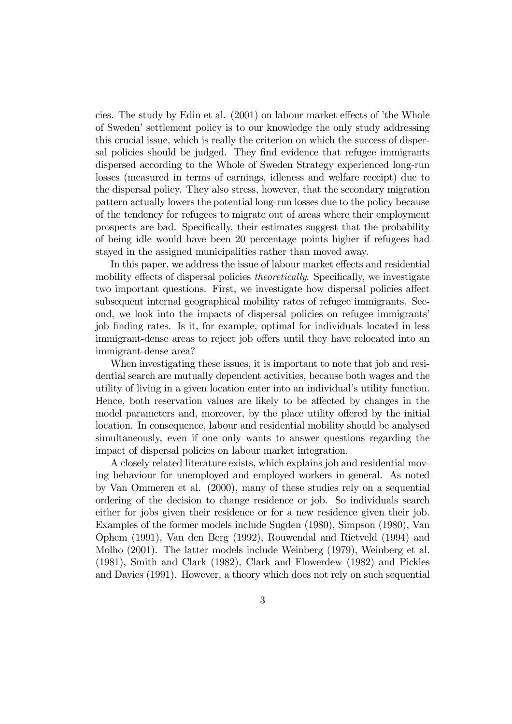cies. The study by Edin et al. (2001) on labour market effects of 'the Whole of Sweden' settlement policy is to our knowledge the only study addressing this crucial issue, which is really the criterion on which the success of dispersal policies should be judged. They find evidence that refugee immigrants dispersed according to the Whole of Sweden Strategy experienced long-run losses (measured in terms of earnings, idleness and welfare receipt) due to the dispersal policy. They also stress, however, that the secondary migration pattern actually lowers the potential long-run losses due to the policy because of the tendency for refugees to migrate out of areas where their employment prospects are bad. Specifically, their estimates suggest that the probability of being idle would have been 20 percentage points higher if refugees had stayed in the assigned municipalities rather than moved away.

In this paper, we address the issue of labour market effects and residential mobility effects of dispersal policies theoretically. Specifically, we investigate two important questions. First, we investigate how dispersal policies affect subsequent internal geographical mobility rates of refugee immigrants. Second, we look into the impacts of dispersal policies on refugee immigrants' job finding rates. Is it, for example, optimal for individuals located in less immigrant-dense areas to reject job offers until they have relocated into an immigrant-dense area?

When investigating these issues, it is important to note that job and residential search are mutually dependent activities, because both wages and the utility of living in a given location enter into an individual's utility function. Hence, both reservation values are likely to be affected by changes in the model parameters and, moreover, by the place utility offered by the initial location. In consequence, labour and residential mobility should be analysed simultaneously, even if one only wants to answer questions regarding the impact of dispersal policies on labour market integration.

A closely related literature exists, which explains job and residential moving behaviour for unemployed and employed workers in general. As noted by Van Ommeren et al. (2000), many of these studies rely on a sequential ordering of the decision to change residence or job. So individuals search either for jobs given their residence or for a new residence given their job. Examples of the former models include Sugden (1980), Simpson (1980), Van Ophem (1991), Van den Berg (1992), Rouwendal and Rietveld (1994) and Molho (2001). The latter models include Weinberg (1979), Weinberg et al. (1981), Smith and Clark (1982), Clark and Flowerdew (1982) and Pickles and Davies (1991). However, a theory which does not rely on such sequential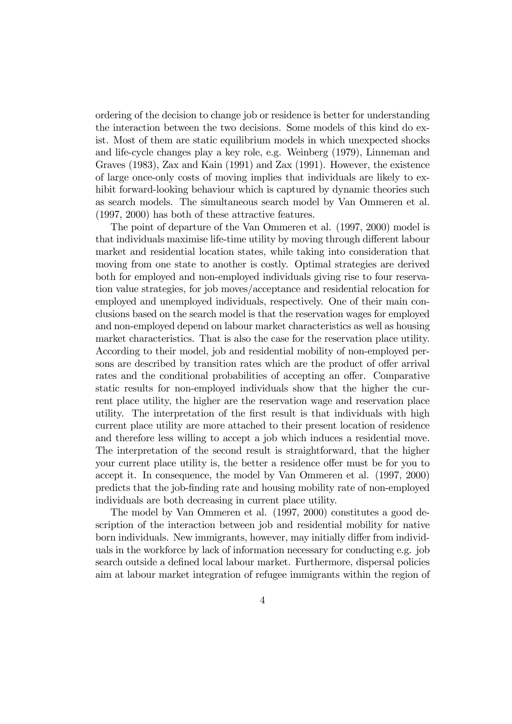ordering of the decision to change job or residence is better for understanding the interaction between the two decisions. Some models of this kind do exist. Most of them are static equilibrium models in which unexpected shocks and life-cycle changes play a key role, e.g. Weinberg (1979), Linneman and Graves (1983), Zax and Kain (1991) and Zax (1991). However, the existence of large once-only costs of moving implies that individuals are likely to exhibit forward-looking behaviour which is captured by dynamic theories such as search models. The simultaneous search model by Van Ommeren et al. (1997, 2000) has both of these attractive features.

The point of departure of the Van Ommeren et al. (1997, 2000) model is that individuals maximise life-time utility by moving through different labour market and residential location states, while taking into consideration that moving from one state to another is costly. Optimal strategies are derived both for employed and non-employed individuals giving rise to four reservation value strategies, for job moves/acceptance and residential relocation for employed and unemployed individuals, respectively. One of their main conclusions based on the search model is that the reservation wages for employed and non-employed depend on labour market characteristics as well as housing market characteristics. That is also the case for the reservation place utility. According to their model, job and residential mobility of non-employed persons are described by transition rates which are the product of offer arrival rates and the conditional probabilities of accepting an offer. Comparative static results for non-employed individuals show that the higher the current place utility, the higher are the reservation wage and reservation place utility. The interpretation of the first result is that individuals with high current place utility are more attached to their present location of residence and therefore less willing to accept a job which induces a residential move. The interpretation of the second result is straightforward, that the higher your current place utility is, the better a residence offer must be for you to accept it. In consequence, the model by Van Ommeren et al. (1997, 2000) predicts that the job-finding rate and housing mobility rate of non-employed individuals are both decreasing in current place utility.

The model by Van Ommeren et al. (1997, 2000) constitutes a good description of the interaction between job and residential mobility for native born individuals. New immigrants, however, may initially differ from individuals in the workforce by lack of information necessary for conducting e.g. job search outside a defined local labour market. Furthermore, dispersal policies aim at labour market integration of refugee immigrants within the region of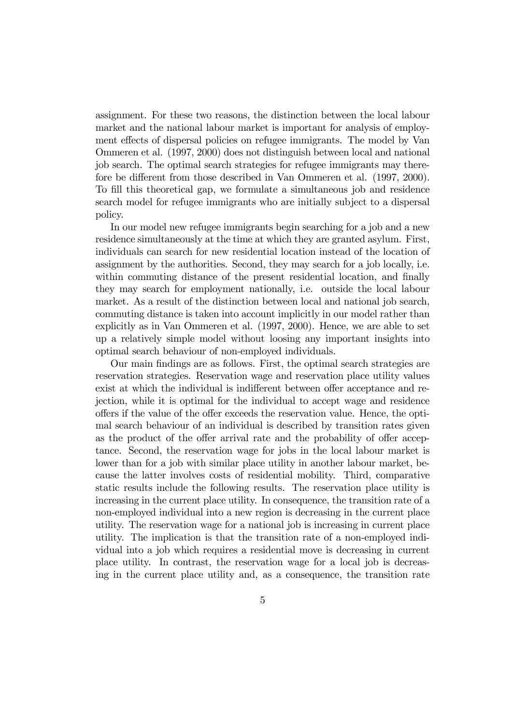assignment. For these two reasons, the distinction between the local labour market and the national labour market is important for analysis of employment effects of dispersal policies on refugee immigrants. The model by Van Ommeren et al. (1997, 2000) does not distinguish between local and national job search. The optimal search strategies for refugee immigrants may therefore be different from those described in Van Ommeren et al. (1997, 2000). To fill this theoretical gap, we formulate a simultaneous job and residence search model for refugee immigrants who are initially subject to a dispersal policy.

In our model new refugee immigrants begin searching for a job and a new residence simultaneously at the time at which they are granted asylum. First, individuals can search for new residential location instead of the location of assignment by the authorities. Second, they may search for a job locally, i.e. within commuting distance of the present residential location, and finally they may search for employment nationally, i.e. outside the local labour market. As a result of the distinction between local and national job search, commuting distance is taken into account implicitly in our model rather than explicitly as in Van Ommeren et al. (1997, 2000). Hence, we are able to set up a relatively simple model without loosing any important insights into optimal search behaviour of non-employed individuals.

Our main findings are as follows. First, the optimal search strategies are reservation strategies. Reservation wage and reservation place utility values exist at which the individual is indifferent between offer acceptance and rejection, while it is optimal for the individual to accept wage and residence offers if the value of the offer exceeds the reservation value. Hence, the optimal search behaviour of an individual is described by transition rates given as the product of the offer arrival rate and the probability of offer acceptance. Second, the reservation wage for jobs in the local labour market is lower than for a job with similar place utility in another labour market, because the latter involves costs of residential mobility. Third, comparative static results include the following results. The reservation place utility is increasing in the current place utility. In consequence, the transition rate of a non-employed individual into a new region is decreasing in the current place utility. The reservation wage for a national job is increasing in current place utility. The implication is that the transition rate of a non-employed individual into a job which requires a residential move is decreasing in current place utility. In contrast, the reservation wage for a local job is decreasing in the current place utility and, as a consequence, the transition rate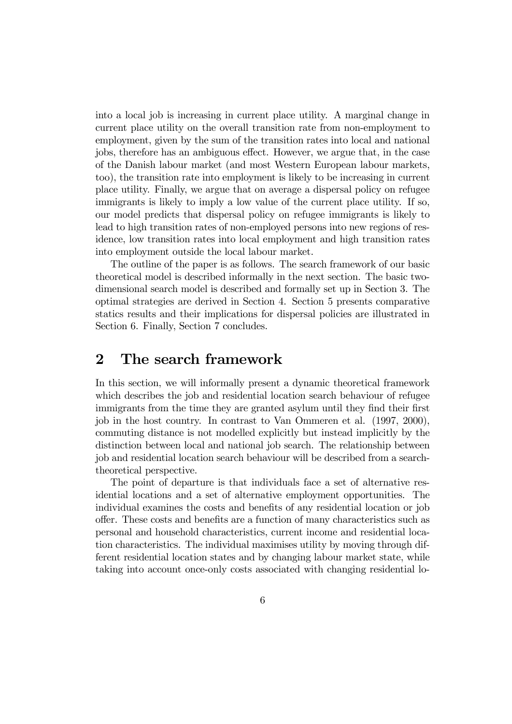into a local job is increasing in current place utility. A marginal change in current place utility on the overall transition rate from non-employment to employment, given by the sum of the transition rates into local and national jobs, therefore has an ambiguous effect. However, we argue that, in the case of the Danish labour market (and most Western European labour markets, too), the transition rate into employment is likely to be increasing in current place utility. Finally, we argue that on average a dispersal policy on refugee immigrants is likely to imply a low value of the current place utility. If so, our model predicts that dispersal policy on refugee immigrants is likely to lead to high transition rates of non-employed persons into new regions of residence, low transition rates into local employment and high transition rates into employment outside the local labour market.

The outline of the paper is as follows. The search framework of our basic theoretical model is described informally in the next section. The basic twodimensional search model is described and formally set up in Section 3. The optimal strategies are derived in Section 4. Section 5 presents comparative statics results and their implications for dispersal policies are illustrated in Section 6. Finally, Section 7 concludes.

### 2 The search framework

In this section, we will informally present a dynamic theoretical framework which describes the job and residential location search behaviour of refugee immigrants from the time they are granted asylum until they find their first job in the host country. In contrast to Van Ommeren et al. (1997, 2000), commuting distance is not modelled explicitly but instead implicitly by the distinction between local and national job search. The relationship between job and residential location search behaviour will be described from a searchtheoretical perspective.

The point of departure is that individuals face a set of alternative residential locations and a set of alternative employment opportunities. The individual examines the costs and benefits of any residential location or job offer. These costs and benefits are a function of many characteristics such as personal and household characteristics, current income and residential location characteristics. The individual maximises utility by moving through different residential location states and by changing labour market state, while taking into account once-only costs associated with changing residential lo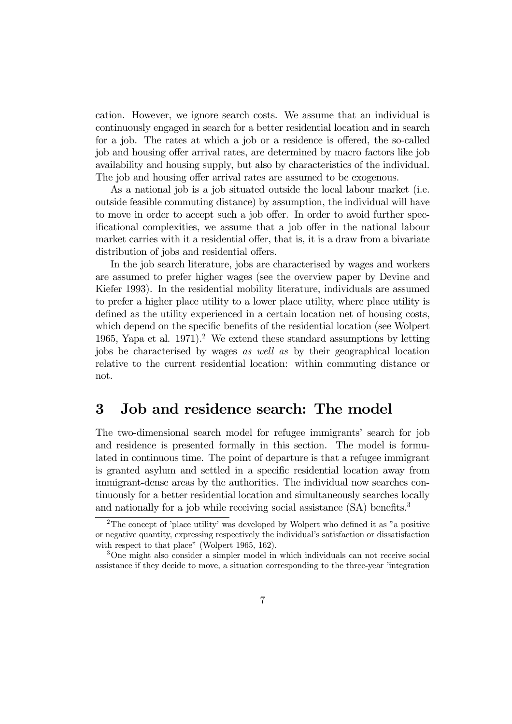cation. However, we ignore search costs. We assume that an individual is continuously engaged in search for a better residential location and in search for a job. The rates at which a job or a residence is offered, the so-called job and housing offer arrival rates, are determined by macro factors like job availability and housing supply, but also by characteristics of the individual. The job and housing offer arrival rates are assumed to be exogenous.

As a national job is a job situated outside the local labour market (i.e. outside feasible commuting distance) by assumption, the individual will have to move in order to accept such a job offer. In order to avoid further specificational complexities, we assume that a job offer in the national labour market carries with it a residential offer, that is, it is a draw from a bivariate distribution of jobs and residential offers.

In the job search literature, jobs are characterised by wages and workers are assumed to prefer higher wages (see the overview paper by Devine and Kiefer 1993). In the residential mobility literature, individuals are assumed to prefer a higher place utility to a lower place utility, where place utility is defined as the utility experienced in a certain location net of housing costs, which depend on the specific benefits of the residential location (see Wolpert 1965, Yapa et al. 1971).<sup>2</sup> We extend these standard assumptions by letting jobs be characterised by wages as well as by their geographical location relative to the current residential location: within commuting distance or not.

#### 3 Job and residence search: The model

The two-dimensional search model for refugee immigrants' search for job and residence is presented formally in this section. The model is formulated in continuous time. The point of departure is that a refugee immigrant is granted asylum and settled in a specific residential location away from immigrant-dense areas by the authorities. The individual now searches continuously for a better residential location and simultaneously searches locally and nationally for a job while receiving social assistance (SA) benefits.<sup>3</sup>

<sup>2</sup>The concept of 'place utility' was developed by Wolpert who defined it as "a positive or negative quantity, expressing respectively the individual's satisfaction or dissatisfaction with respect to that place" (Wolpert 1965, 162).

<sup>&</sup>lt;sup>3</sup>One might also consider a simpler model in which individuals can not receive social assistance if they decide to move, a situation corresponding to the three-year 'integration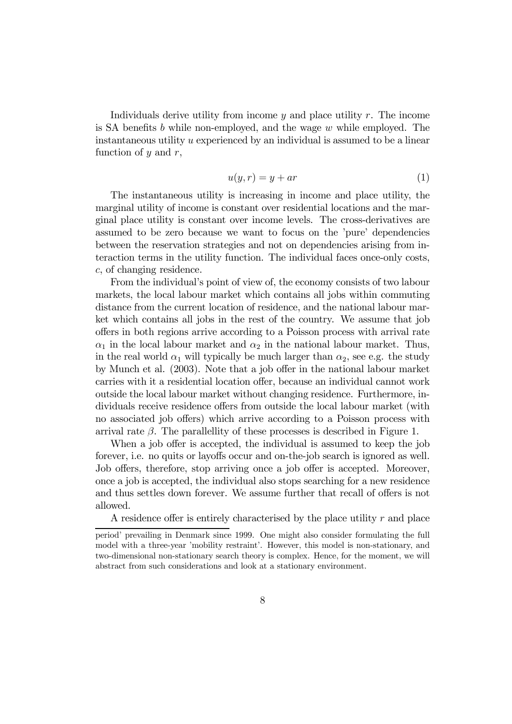Individuals derive utility from income  $y$  and place utility  $r$ . The income is SA benefits b while non-employed, and the wage  $w$  while employed. The instantaneous utility u experienced by an individual is assumed to be a linear function of  $y$  and  $r$ ,

$$
u(y,r) = y + ar \tag{1}
$$

The instantaneous utility is increasing in income and place utility, the marginal utility of income is constant over residential locations and the marginal place utility is constant over income levels. The cross-derivatives are assumed to be zero because we want to focus on the 'pure' dependencies between the reservation strategies and not on dependencies arising from interaction terms in the utility function. The individual faces once-only costs, c, of changing residence.

From the individual's point of view of, the economy consists of two labour markets, the local labour market which contains all jobs within commuting distance from the current location of residence, and the national labour market which contains all jobs in the rest of the country. We assume that job offers in both regions arrive according to a Poisson process with arrival rate  $\alpha_1$  in the local labour market and  $\alpha_2$  in the national labour market. Thus, in the real world  $\alpha_1$  will typically be much larger than  $\alpha_2$ , see e.g. the study by Munch et al. (2003). Note that a job offer in the national labour market carries with it a residential location offer, because an individual cannot work outside the local labour market without changing residence. Furthermore, individuals receive residence offers from outside the local labour market (with no associated job offers) which arrive according to a Poisson process with arrival rate  $\beta$ . The parallellity of these processes is described in Figure 1.

When a job offer is accepted, the individual is assumed to keep the job forever, i.e. no quits or layoffs occur and on-the-job search is ignored as well. Job offers, therefore, stop arriving once a job offer is accepted. Moreover, once a job is accepted, the individual also stops searching for a new residence and thus settles down forever. We assume further that recall of offers is not allowed.

A residence offer is entirely characterised by the place utility r and place

period' prevailing in Denmark since 1999. One might also consider formulating the full model with a three-year 'mobility restraint'. However, this model is non-stationary, and two-dimensional non-stationary search theory is complex. Hence, for the moment, we will abstract from such considerations and look at a stationary environment.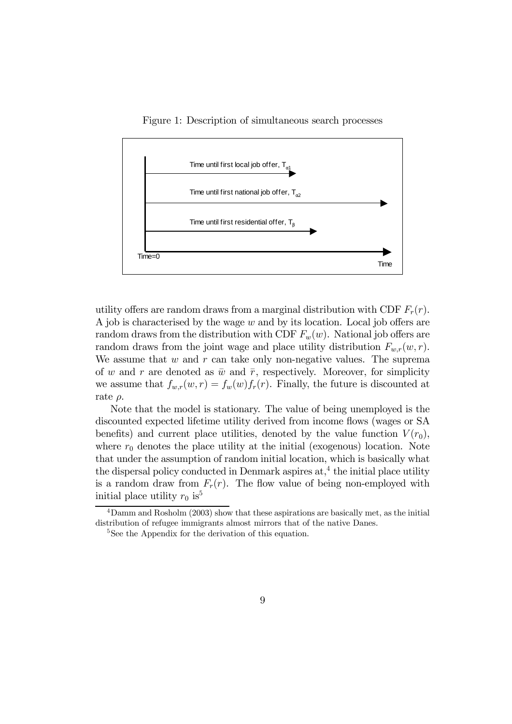Figure 1: Description of simultaneous search processes



utility offers are random draws from a marginal distribution with CDF  $F_r(r)$ . A job is characterised by the wage w and by its location. Local job offers are random draws from the distribution with CDF  $F_w(w)$ . National job offers are random draws from the joint wage and place utility distribution  $F_{w,r}(w, r)$ . We assume that  $w$  and  $r$  can take only non-negative values. The suprema of w and r are denoted as  $\bar{w}$  and  $\bar{r}$ , respectively. Moreover, for simplicity we assume that  $f_{w,r}(w,r) = f_w(w) f_r(r)$ . Finally, the future is discounted at rate  $\rho$ .

Note that the model is stationary. The value of being unemployed is the discounted expected lifetime utility derived from income flows (wages or SA benefits) and current place utilities, denoted by the value function  $V(r_0)$ , where  $r_0$  denotes the place utility at the initial (exogenous) location. Note that under the assumption of random initial location, which is basically what the dispersal policy conducted in Denmark aspires  $at<sub>1</sub><sup>4</sup>$  the initial place utility is a random draw from  $F_r(r)$ . The flow value of being non-employed with initial place utility  $r_0$  is<sup>5</sup>

<sup>4</sup>Damm and Rosholm (2003) show that these aspirations are basically met, as the initial distribution of refugee immigrants almost mirrors that of the native Danes.

<sup>&</sup>lt;sup>5</sup>See the Appendix for the derivation of this equation.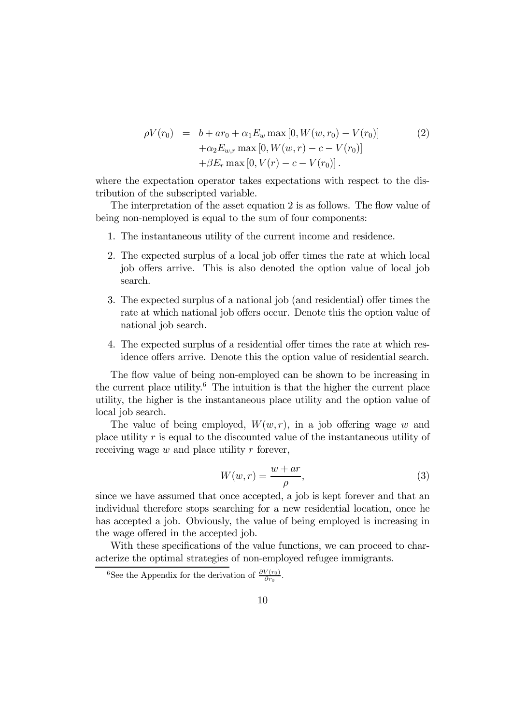$$
\rho V(r_0) = b + ar_0 + \alpha_1 E_w \max [0, W(w, r_0) - V(r_0)]
$$
  
+
$$
\alpha_2 E_{w,r} \max [0, W(w, r) - c - V(r_0)]
$$
  
+
$$
\beta E_r \max [0, V(r) - c - V(r_0)].
$$
\n(2)

where the expectation operator takes expectations with respect to the distribution of the subscripted variable.

The interpretation of the asset equation 2 is as follows. The flow value of being non-nemployed is equal to the sum of four components:

- 1. The instantaneous utility of the current income and residence.
- 2. The expected surplus of a local job offer times the rate at which local job offers arrive. This is also denoted the option value of local job search.
- 3. The expected surplus of a national job (and residential) offer times the rate at which national job offers occur. Denote this the option value of national job search.
- 4. The expected surplus of a residential offer times the rate at which residence offers arrive. Denote this the option value of residential search.

The flow value of being non-employed can be shown to be increasing in the current place utility.<sup>6</sup> The intuition is that the higher the current place utility, the higher is the instantaneous place utility and the option value of local job search.

The value of being employed,  $W(w, r)$ , in a job offering wage w and place utility r is equal to the discounted value of the instantaneous utility of receiving wage  $w$  and place utility  $r$  forever,

$$
W(w,r) = \frac{w+ar}{\rho},\tag{3}
$$

since we have assumed that once accepted, a job is kept forever and that an individual therefore stops searching for a new residential location, once he has accepted a job. Obviously, the value of being employed is increasing in the wage offered in the accepted job.

With these specifications of the value functions, we can proceed to characterize the optimal strategies of non-employed refugee immigrants.

<sup>&</sup>lt;sup>6</sup>See the Appendix for the derivation of  $\frac{\partial V(r_0)}{\partial r_0}$ .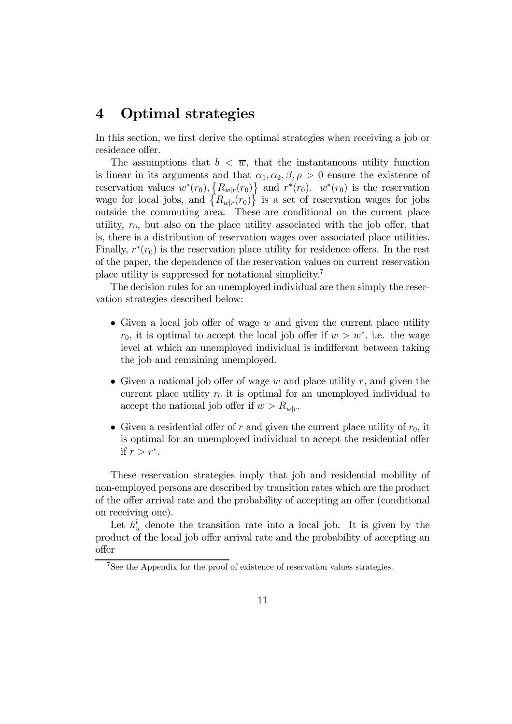### 4 Optimal strategies

In this section, we first derive the optimal strategies when receiving a job or residence offer.

The assumptions that  $b < \overline{w}$ , that the instantaneous utility function is linear in its arguments and that  $\alpha_1, \alpha_2, \beta, \rho > 0$  ensure the existence of reservation values  $w^*(r_0)$ ,  $\left\{ R_{w|r}(r_0) \right\}$  and  $r^*(r_0)$ .  $w^*(r_0)$  is the reservation wage for local jobs, and  $\{R_{w|r}(r_0)\}\$  is a set of reservation wages for jobs outside the commuting area. These are conditional on the current place utility,  $r_0$ , but also on the place utility associated with the job offer, that is, there is a distribution of reservation wages over associated place utilities. Finally,  $r^*(r_0)$  is the reservation place utility for residence offers. In the rest of the paper, the dependence of the reservation values on current reservation place utility is suppressed for notational simplicity.7

The decision rules for an unemployed individual are then simply the reservation strategies described below:

- Given a local job offer of wage  $w$  and given the current place utility  $r_0$ , it is optimal to accept the local job offer if  $w>w^*$ , i.e. the wage level at which an unemployed individual is indifferent between taking the job and remaining unemployed.
- Given a national job offer of wage  $w$  and place utility  $r$ , and given the current place utility  $r_0$  it is optimal for an unemployed individual to accept the national job offer if  $w > R_{w|r}$ .
- Given a residential offer of r and given the current place utility of  $r_0$ , it is optimal for an unemployed individual to accept the residential offer if  $r>r^*$ .

These reservation strategies imply that job and residential mobility of non-employed persons are described by transition rates which are the product of the offer arrival rate and the probability of accepting an offer (conditional on receiving one).

Let  $h_u^l$  denote the transition rate into a local job. It is given by the product of the local job offer arrival rate and the probability of accepting an offer

<sup>7</sup>See the Appendix for the proof of existence of reservation values strategies.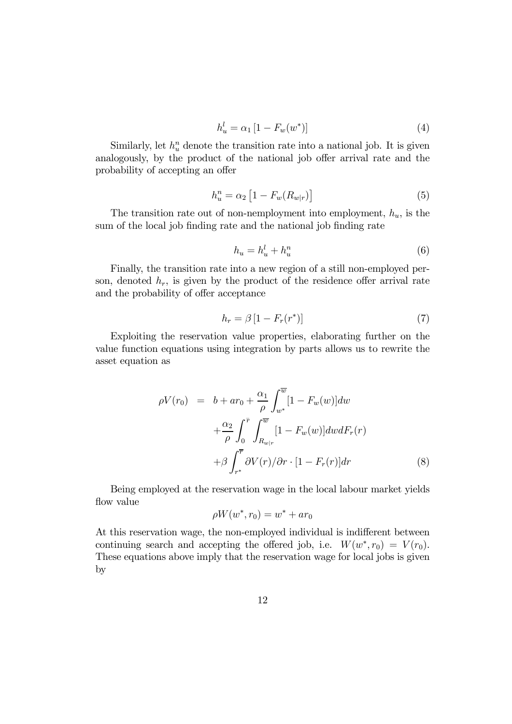$$
h_u^l = \alpha_1 \left[ 1 - F_w(w^*) \right] \tag{4}
$$

Similarly, let  $h_u^n$  denote the transition rate into a national job. It is given analogously, by the product of the national job offer arrival rate and the probability of accepting an offer

$$
h_u^n = \alpha_2 \left[ 1 - F_w(R_{w|r}) \right] \tag{5}
$$

The transition rate out of non-nemployment into employment,  $h_u$ , is the sum of the local job finding rate and the national job finding rate

$$
h_u = h_u^l + h_u^n \tag{6}
$$

Finally, the transition rate into a new region of a still non-employed person, denoted  $h_r$ , is given by the product of the residence offer arrival rate and the probability of offer acceptance

$$
h_r = \beta \left[ 1 - F_r(r^*) \right] \tag{7}
$$

Exploiting the reservation value properties, elaborating further on the value function equations using integration by parts allows us to rewrite the asset equation as

$$
\rho V(r_0) = b + ar_0 + \frac{\alpha_1}{\rho} \int_{w^*}^{\overline{w}} [1 - F_w(w)] dw
$$
  
+ 
$$
\frac{\alpha_2}{\rho} \int_0^{\overline{r}} \int_{R_{w|r}}^{\overline{w}} [1 - F_w(w)] dw dF_r(r)
$$
  
+ 
$$
\beta \int_{r^*}^{\overline{r}} \partial V(r) / \partial r \cdot [1 - F_r(r)] dr
$$
 (8)

Being employed at the reservation wage in the local labour market yields flow value

$$
\rho W(w^*,r_0)=w^*+ar_0
$$

At this reservation wage, the non-employed individual is indifferent between continuing search and accepting the offered job, i.e.  $W(w^*, r_0) = V(r_0)$ . These equations above imply that the reservation wage for local jobs is given by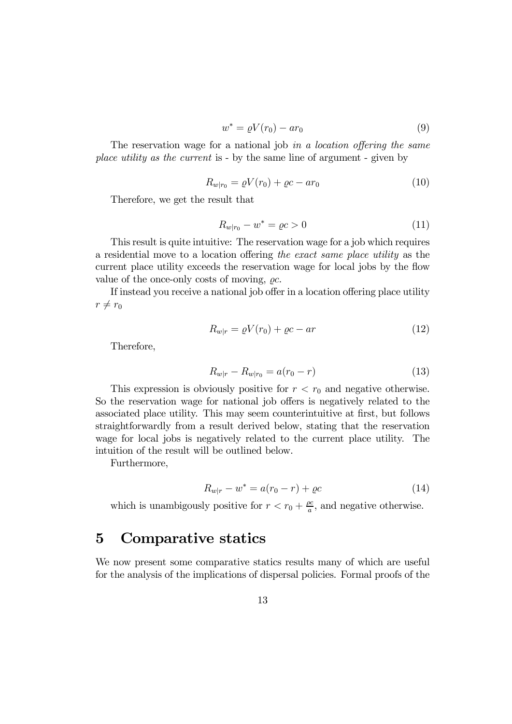$$
w^* = \varrho V(r_0) - ar_0 \tag{9}
$$

The reservation wage for a national job in a location offering the same place utility as the current is - by the same line of argument - given by

$$
R_{w|r_0} = \varrho V(r_0) + \varrho c - ar_0 \tag{10}
$$

Therefore, we get the result that

$$
R_{w|r_0} - w^* = \varrho c > 0 \tag{11}
$$

This result is quite intuitive: The reservation wage for a job which requires a residential move to a location offering the exact same place utility as the current place utility exceeds the reservation wage for local jobs by the flow value of the once-only costs of moving,  $\rho c$ .

If instead you receive a national job offer in a location offering place utility  $r \neq r_0$ 

$$
R_{w|r} = \varrho V(r_0) + \varrho c - ar \tag{12}
$$

Therefore,

$$
R_{w|r} - R_{w|r_0} = a(r_0 - r)
$$
\n(13)

This expression is obviously positive for  $r < r_0$  and negative otherwise. So the reservation wage for national job offers is negatively related to the associated place utility. This may seem counterintuitive at first, but follows straightforwardly from a result derived below, stating that the reservation wage for local jobs is negatively related to the current place utility. The intuition of the result will be outlined below.

Furthermore,

$$
R_{w|r} - w^* = a(r_0 - r) + \varrho c \tag{14}
$$

which is unambigously positive for  $r < r_0 + \frac{\rho c}{a}$ , and negative otherwise.

### 5 Comparative statics

We now present some comparative statics results many of which are useful for the analysis of the implications of dispersal policies. Formal proofs of the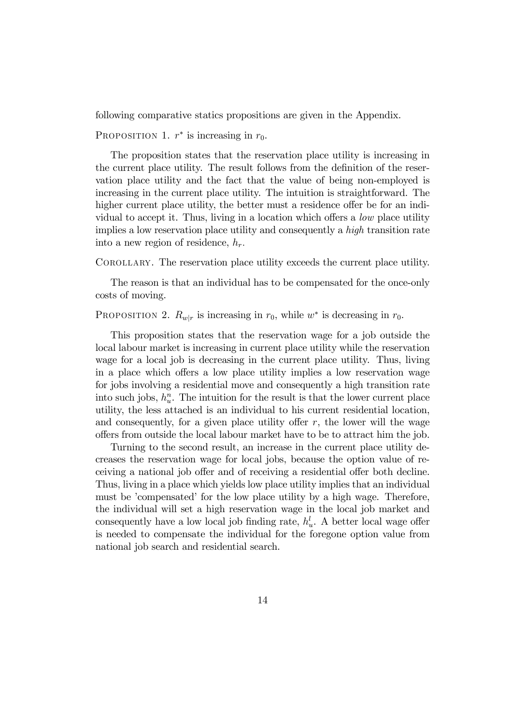following comparative statics propositions are given in the Appendix.

PROPOSITION 1.  $r^*$  is increasing in  $r_0$ .

The proposition states that the reservation place utility is increasing in the current place utility. The result follows from the definition of the reservation place utility and the fact that the value of being non-employed is increasing in the current place utility. The intuition is straightforward. The higher current place utility, the better must a residence offer be for an individual to accept it. Thus, living in a location which offers a low place utility implies a low reservation place utility and consequently a high transition rate into a new region of residence,  $h_r$ .

Corollary. The reservation place utility exceeds the current place utility.

The reason is that an individual has to be compensated for the once-only costs of moving.

PROPOSITION 2.  $R_{w|r}$  is increasing in  $r_0$ , while w<sup>\*</sup> is decreasing in  $r_0$ .

This proposition states that the reservation wage for a job outside the local labour market is increasing in current place utility while the reservation wage for a local job is decreasing in the current place utility. Thus, living in a place which offers a low place utility implies a low reservation wage for jobs involving a residential move and consequently a high transition rate into such jobs,  $h_u^n$ . The intuition for the result is that the lower current place utility, the less attached is an individual to his current residential location, and consequently, for a given place utility offer  $r$ , the lower will the wage offers from outside the local labour market have to be to attract him the job.

Turning to the second result, an increase in the current place utility decreases the reservation wage for local jobs, because the option value of receiving a national job offer and of receiving a residential offer both decline. Thus, living in a place which yields low place utility implies that an individual must be 'compensated' for the low place utility by a high wage. Therefore, the individual will set a high reservation wage in the local job market and consequently have a low local job finding rate,  $h_u^l$ . A better local wage offer is needed to compensate the individual for the foregone option value from national job search and residential search.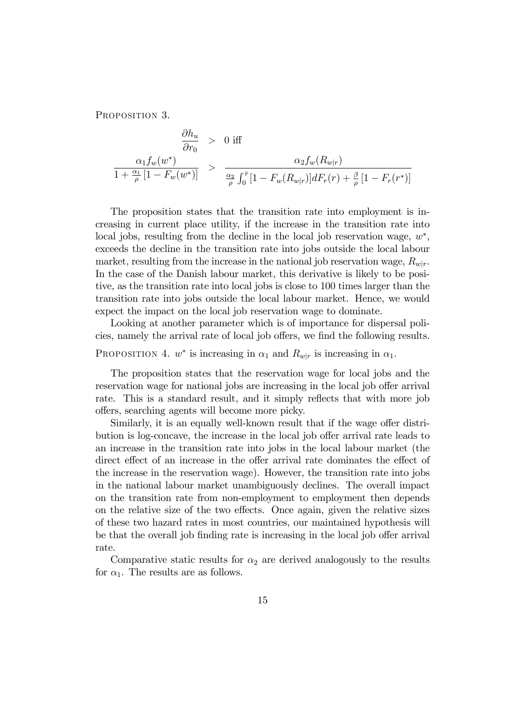PROPOSITION 3.

$$
\frac{\partial h_u}{\partial r_0} > 0 \text{ iff}
$$
\n
$$
\frac{\alpha_1 f_w(w^*)}{1 + \frac{\alpha_1}{\rho} [1 - F_w(w^*)]} > \frac{\alpha_2 f_w(R_{w|r})}{\frac{\alpha_2}{\rho} \int_0^{\overline{r}} [1 - F_w(R_{w|r})] dF_r(r) + \frac{\beta}{\rho} [1 - F_r(r^*)]}
$$

The proposition states that the transition rate into employment is increasing in current place utility, if the increase in the transition rate into local jobs, resulting from the decline in the local job reservation wage, w∗, exceeds the decline in the transition rate into jobs outside the local labour market, resulting from the increase in the national job reservation wage,  $R_{w|r}$ . In the case of the Danish labour market, this derivative is likely to be positive, as the transition rate into local jobs is close to 100 times larger than the transition rate into jobs outside the local labour market. Hence, we would expect the impact on the local job reservation wage to dominate.

Looking at another parameter which is of importance for dispersal policies, namely the arrival rate of local job offers, we find the following results. PROPOSITION 4.  $w^*$  is increasing in  $\alpha_1$  and  $R_{w|r}$  is increasing in  $\alpha_1$ .

The proposition states that the reservation wage for local jobs and the reservation wage for national jobs are increasing in the local job offer arrival rate. This is a standard result, and it simply reflects that with more job offers, searching agents will become more picky.

Similarly, it is an equally well-known result that if the wage offer distribution is log-concave, the increase in the local job offer arrival rate leads to an increase in the transition rate into jobs in the local labour market (the direct effect of an increase in the offer arrival rate dominates the effect of the increase in the reservation wage). However, the transition rate into jobs in the national labour market unambiguously declines. The overall impact on the transition rate from non-employment to employment then depends on the relative size of the two effects. Once again, given the relative sizes of these two hazard rates in most countries, our maintained hypothesis will be that the overall job finding rate is increasing in the local job offer arrival rate.

Comparative static results for  $\alpha_2$  are derived analogously to the results for  $\alpha_1$ . The results are as follows.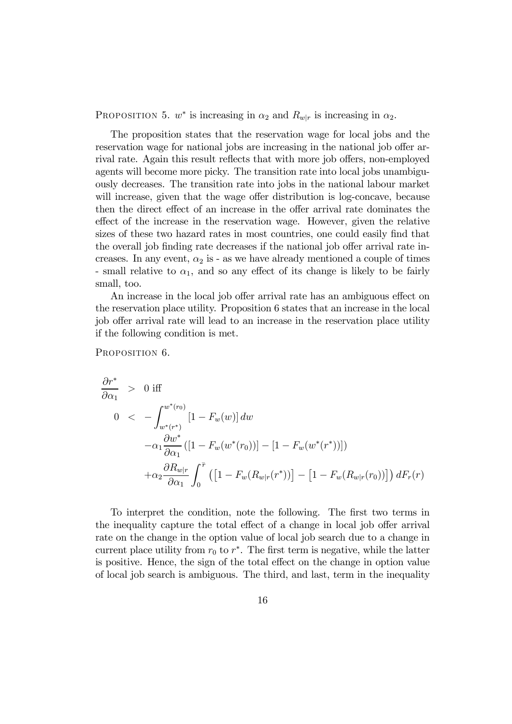PROPOSITION 5.  $w^*$  is increasing in  $\alpha_2$  and  $R_{w|r}$  is increasing in  $\alpha_2$ .

The proposition states that the reservation wage for local jobs and the reservation wage for national jobs are increasing in the national job offer arrival rate. Again this result reflects that with more job offers, non-employed agents will become more picky. The transition rate into local jobs unambiguously decreases. The transition rate into jobs in the national labour market will increase, given that the wage offer distribution is log-concave, because then the direct effect of an increase in the offer arrival rate dominates the effect of the increase in the reservation wage. However, given the relative sizes of these two hazard rates in most countries, one could easily find that the overall job finding rate decreases if the national job offer arrival rate increases. In any event,  $\alpha_2$  is - as we have already mentioned a couple of times - small relative to  $\alpha_1$ , and so any effect of its change is likely to be fairly small, too.

An increase in the local job offer arrival rate has an ambiguous effect on the reservation place utility. Proposition 6 states that an increase in the local job offer arrival rate will lead to an increase in the reservation place utility if the following condition is met.

PROPOSITION 6.

$$
\frac{\partial r^*}{\partial \alpha_1} > 0 \text{ iff}
$$
\n
$$
0 < -\int_{w^*(r^*)}^{w^*(r_0)} [1 - F_w(w)] dw
$$
\n
$$
-\alpha_1 \frac{\partial w^*}{\partial \alpha_1} ([1 - F_w(w^*(r_0))] - [1 - F_w(w^*(r^*))])
$$
\n
$$
+\alpha_2 \frac{\partial R_{w|r}}{\partial \alpha_1} \int_0^{\overline{r}} \left( [1 - F_w(R_{w|r}(r^*))] - [1 - F_w(R_{w|r}(r_0))] \right) dF_r(r)
$$

To interpret the condition, note the following. The first two terms in the inequality capture the total effect of a change in local job offer arrival rate on the change in the option value of local job search due to a change in current place utility from  $r_0$  to  $r^*$ . The first term is negative, while the latter is positive. Hence, the sign of the total effect on the change in option value of local job search is ambiguous. The third, and last, term in the inequality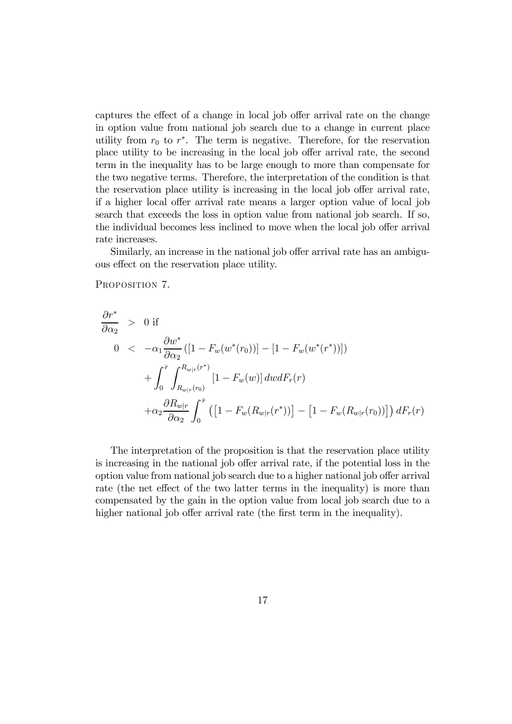captures the effect of a change in local job offer arrival rate on the change in option value from national job search due to a change in current place utility from  $r_0$  to  $r^*$ . The term is negative. Therefore, for the reservation place utility to be increasing in the local job offer arrival rate, the second term in the inequality has to be large enough to more than compensate for the two negative terms. Therefore, the interpretation of the condition is that the reservation place utility is increasing in the local job offer arrival rate, if a higher local offer arrival rate means a larger option value of local job search that exceeds the loss in option value from national job search. If so, the individual becomes less inclined to move when the local job offer arrival rate increases.

Similarly, an increase in the national job offer arrival rate has an ambiguous effect on the reservation place utility.

PROPOSITION 7.

$$
\frac{\partial r^*}{\partial \alpha_2} > 0 \text{ if}
$$
\n
$$
0 < -\alpha_1 \frac{\partial w^*}{\partial \alpha_2} ([1 - F_w(w^*(r_0))] - [1 - F_w(w^*(r^*))])
$$
\n
$$
+ \int_0^{\bar{r}} \int_{R_{w|r}(r_0)}^{R_{w|r}(r^*)} [1 - F_w(w)] dw dF_r(r)
$$
\n
$$
+ \alpha_2 \frac{\partial R_{w|r}}{\partial \alpha_2} \int_0^{\bar{r}} \left( \left[ 1 - F_w(R_{w|r}(r^*)) \right] - \left[ 1 - F_w(R_{w|r}(r_0)) \right] \right) dF_r(r)
$$

The interpretation of the proposition is that the reservation place utility is increasing in the national job offer arrival rate, if the potential loss in the option value from national job search due to a higher national job offer arrival rate (the net effect of the two latter terms in the inequality) is more than compensated by the gain in the option value from local job search due to a higher national job offer arrival rate (the first term in the inequality).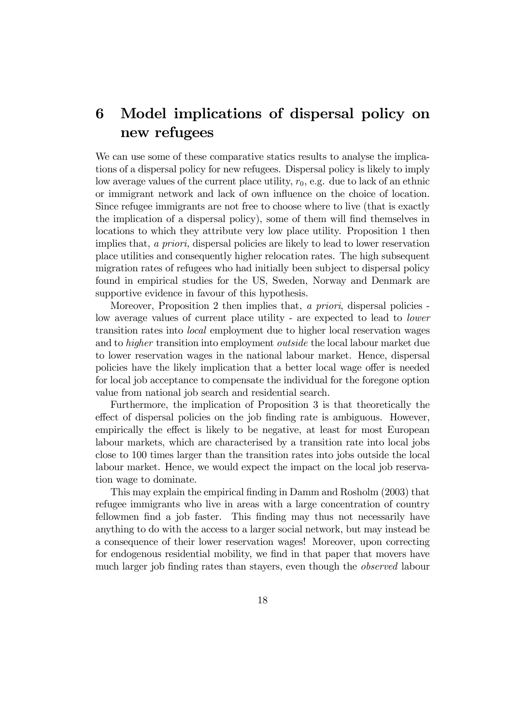# 6 Model implications of dispersal policy on new refugees

We can use some of these comparative statics results to analyse the implications of a dispersal policy for new refugees. Dispersal policy is likely to imply low average values of the current place utility,  $r_0$ , e.g. due to lack of an ethnic or immigrant network and lack of own influence on the choice of location. Since refugee immigrants are not free to choose where to live (that is exactly the implication of a dispersal policy), some of them will find themselves in locations to which they attribute very low place utility. Proposition 1 then implies that, a priori, dispersal policies are likely to lead to lower reservation place utilities and consequently higher relocation rates. The high subsequent migration rates of refugees who had initially been subject to dispersal policy found in empirical studies for the US, Sweden, Norway and Denmark are supportive evidence in favour of this hypothesis.

Moreover, Proposition 2 then implies that, a priori, dispersal policies low average values of current place utility - are expected to lead to lower transition rates into local employment due to higher local reservation wages and to higher transition into employment outside the local labour market due to lower reservation wages in the national labour market. Hence, dispersal policies have the likely implication that a better local wage offer is needed for local job acceptance to compensate the individual for the foregone option value from national job search and residential search.

Furthermore, the implication of Proposition 3 is that theoretically the effect of dispersal policies on the job finding rate is ambiguous. However, empirically the effect is likely to be negative, at least for most European labour markets, which are characterised by a transition rate into local jobs close to 100 times larger than the transition rates into jobs outside the local labour market. Hence, we would expect the impact on the local job reservation wage to dominate.

This may explain the empirical finding in Damm and Rosholm (2003) that refugee immigrants who live in areas with a large concentration of country fellowmen find a job faster. This finding may thus not necessarily have anything to do with the access to a larger social network, but may instead be a consequence of their lower reservation wages! Moreover, upon correcting for endogenous residential mobility, we find in that paper that movers have much larger job finding rates than stayers, even though the observed labour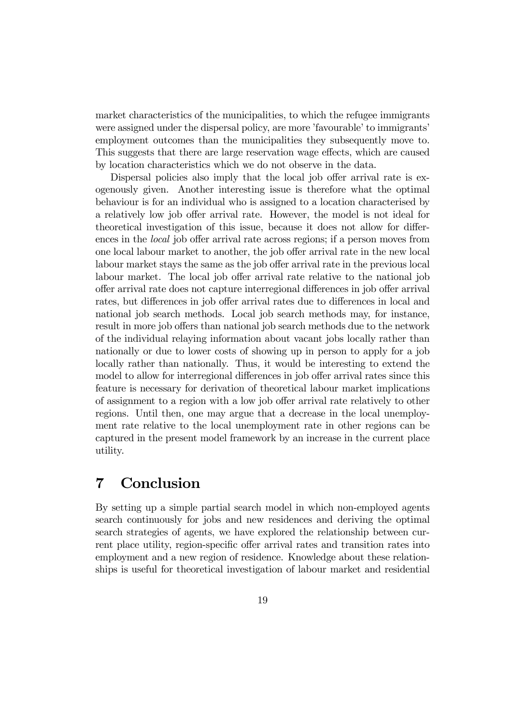market characteristics of the municipalities, to which the refugee immigrants were assigned under the dispersal policy, are more 'favourable' to immigrants' employment outcomes than the municipalities they subsequently move to. This suggests that there are large reservation wage effects, which are caused by location characteristics which we do not observe in the data.

Dispersal policies also imply that the local job offer arrival rate is exogenously given. Another interesting issue is therefore what the optimal behaviour is for an individual who is assigned to a location characterised by a relatively low job offer arrival rate. However, the model is not ideal for theoretical investigation of this issue, because it does not allow for differences in the local job offer arrival rate across regions; if a person moves from one local labour market to another, the job offer arrival rate in the new local labour market stays the same as the job offer arrival rate in the previous local labour market. The local job offer arrival rate relative to the national job offer arrival rate does not capture interregional differences in job offer arrival rates, but differences in job offer arrival rates due to differences in local and national job search methods. Local job search methods may, for instance, result in more job offers than national job search methods due to the network of the individual relaying information about vacant jobs locally rather than nationally or due to lower costs of showing up in person to apply for a job locally rather than nationally. Thus, it would be interesting to extend the model to allow for interregional differences in job offer arrival rates since this feature is necessary for derivation of theoretical labour market implications of assignment to a region with a low job offer arrival rate relatively to other regions. Until then, one may argue that a decrease in the local unemployment rate relative to the local unemployment rate in other regions can be captured in the present model framework by an increase in the current place utility.

## 7 Conclusion

By setting up a simple partial search model in which non-employed agents search continuously for jobs and new residences and deriving the optimal search strategies of agents, we have explored the relationship between current place utility, region-specific offer arrival rates and transition rates into employment and a new region of residence. Knowledge about these relationships is useful for theoretical investigation of labour market and residential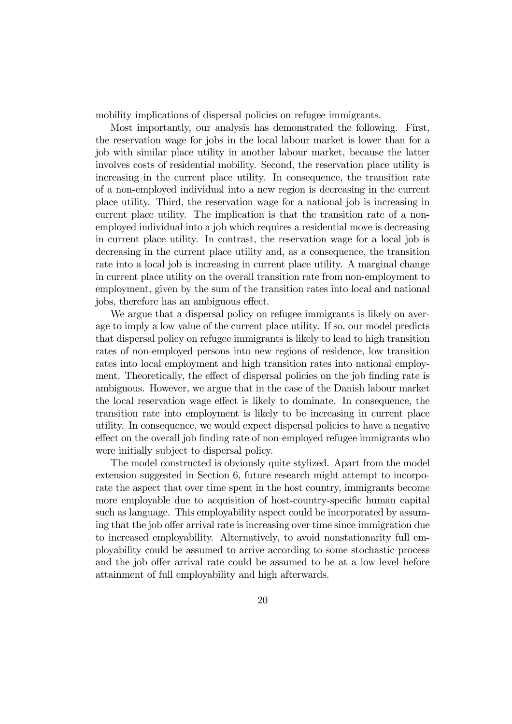mobility implications of dispersal policies on refugee immigrants.

Most importantly, our analysis has demonstrated the following. First, the reservation wage for jobs in the local labour market is lower than for a job with similar place utility in another labour market, because the latter involves costs of residential mobility. Second, the reservation place utility is increasing in the current place utility. In consequence, the transition rate of a non-employed individual into a new region is decreasing in the current place utility. Third, the reservation wage for a national job is increasing in current place utility. The implication is that the transition rate of a nonemployed individual into a job which requires a residential move is decreasing in current place utility. In contrast, the reservation wage for a local job is decreasing in the current place utility and, as a consequence, the transition rate into a local job is increasing in current place utility. A marginal change in current place utility on the overall transition rate from non-employment to employment, given by the sum of the transition rates into local and national jobs, therefore has an ambiguous effect.

We argue that a dispersal policy on refugee immigrants is likely on average to imply a low value of the current place utility. If so, our model predicts that dispersal policy on refugee immigrants is likely to lead to high transition rates of non-employed persons into new regions of residence, low transition rates into local employment and high transition rates into national employment. Theoretically, the effect of dispersal policies on the job finding rate is ambiguous. However, we argue that in the case of the Danish labour market the local reservation wage effect is likely to dominate. In consequence, the transition rate into employment is likely to be increasing in current place utility. In consequence, we would expect dispersal policies to have a negative effect on the overall job finding rate of non-employed refugee immigrants who were initially subject to dispersal policy.

The model constructed is obviously quite stylized. Apart from the model extension suggested in Section 6, future research might attempt to incorporate the aspect that over time spent in the host country, immigrants become more employable due to acquisition of host-country-specific human capital such as language. This employability aspect could be incorporated by assuming that the job offer arrival rate is increasing over time since immigration due to increased employability. Alternatively, to avoid nonstationarity full employability could be assumed to arrive according to some stochastic process and the job offer arrival rate could be assumed to be at a low level before attainment of full employability and high afterwards.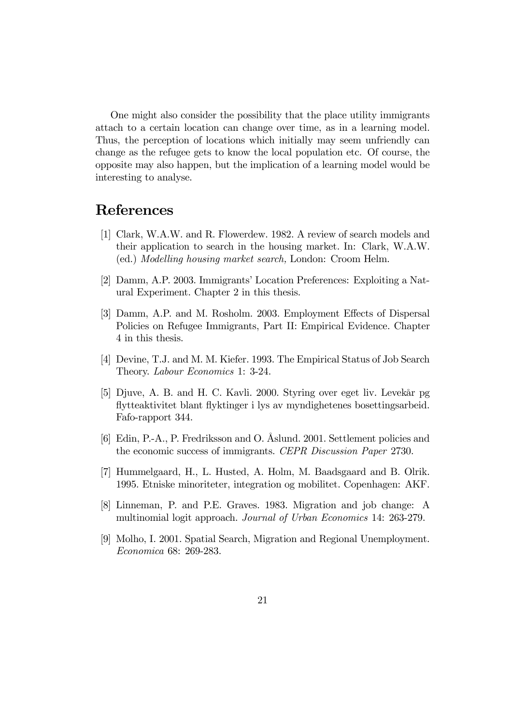One might also consider the possibility that the place utility immigrants attach to a certain location can change over time, as in a learning model. Thus, the perception of locations which initially may seem unfriendly can change as the refugee gets to know the local population etc. Of course, the opposite may also happen, but the implication of a learning model would be interesting to analyse.

#### References

- [1] Clark, W.A.W. and R. Flowerdew. 1982. A review of search models and their application to search in the housing market. In: Clark, W.A.W. (ed.) Modelling housing market search, London: Croom Helm.
- [2] Damm, A.P. 2003. Immigrants' Location Preferences: Exploiting a Natural Experiment. Chapter 2 in this thesis.
- [3] Damm, A.P. and M. Rosholm. 2003. Employment Effects of Dispersal Policies on Refugee Immigrants, Part II: Empirical Evidence. Chapter 4 in this thesis.
- [4] Devine, T.J. and M. M. Kiefer. 1993. The Empirical Status of Job Search Theory. Labour Economics 1: 3-24.
- [5] Djuve, A. B. and H. C. Kavli. 2000. Styring over eget liv. Levekår pg flytteaktivitet blant flyktinger i lys av myndighetenes bosettingsarbeid. Fafo-rapport 344.
- [6] Edin, P.-A., P. Fredriksson and O. Åslund. 2001. Settlement policies and the economic success of immigrants. CEPR Discussion Paper 2730.
- [7] Hummelgaard, H., L. Husted, A. Holm, M. Baadsgaard and B. Olrik. 1995. Etniske minoriteter, integration og mobilitet. Copenhagen: AKF.
- [8] Linneman, P. and P.E. Graves. 1983. Migration and job change: A multinomial logit approach. Journal of Urban Economics 14: 263-279.
- [9] Molho, I. 2001. Spatial Search, Migration and Regional Unemployment. Economica 68: 269-283.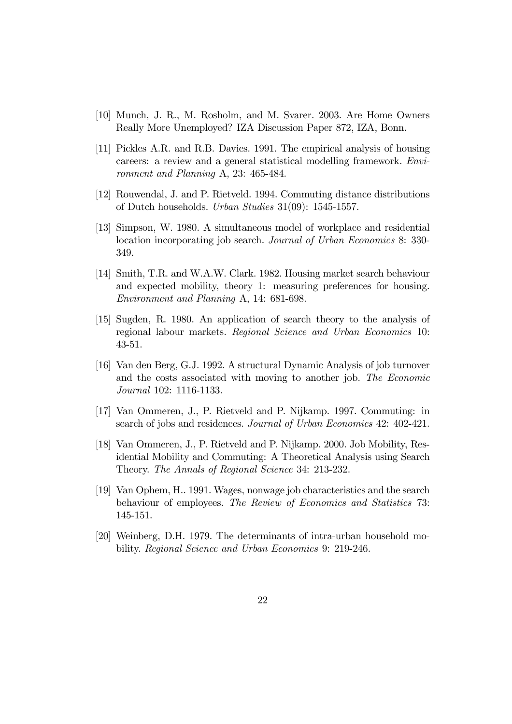- [10] Munch, J. R., M. Rosholm, and M. Svarer. 2003. Are Home Owners Really More Unemployed? IZA Discussion Paper 872, IZA, Bonn.
- [11] Pickles A.R. and R.B. Davies. 1991. The empirical analysis of housing careers: a review and a general statistical modelling framework. Environment and Planning A, 23: 465-484.
- [12] Rouwendal, J. and P. Rietveld. 1994. Commuting distance distributions of Dutch households. Urban Studies 31(09): 1545-1557.
- [13] Simpson, W. 1980. A simultaneous model of workplace and residential location incorporating job search. *Journal of Urban Economics* 8: 330-349.
- [14] Smith, T.R. and W.A.W. Clark. 1982. Housing market search behaviour and expected mobility, theory 1: measuring preferences for housing. Environment and Planning A, 14: 681-698.
- [15] Sugden, R. 1980. An application of search theory to the analysis of regional labour markets. Regional Science and Urban Economics 10: 43-51.
- [16] Van den Berg, G.J. 1992. A structural Dynamic Analysis of job turnover and the costs associated with moving to another job. The Economic Journal 102: 1116-1133.
- [17] Van Ommeren, J., P. Rietveld and P. Nijkamp. 1997. Commuting: in search of jobs and residences. Journal of Urban Economics 42: 402-421.
- [18] Van Ommeren, J., P. Rietveld and P. Nijkamp. 2000. Job Mobility, Residential Mobility and Commuting: A Theoretical Analysis using Search Theory. The Annals of Regional Science 34: 213-232.
- [19] Van Ophem, H.. 1991. Wages, nonwage job characteristics and the search behaviour of employees. The Review of Economics and Statistics 73: 145-151.
- [20] Weinberg, D.H. 1979. The determinants of intra-urban household mobility. Regional Science and Urban Economics 9: 219-246.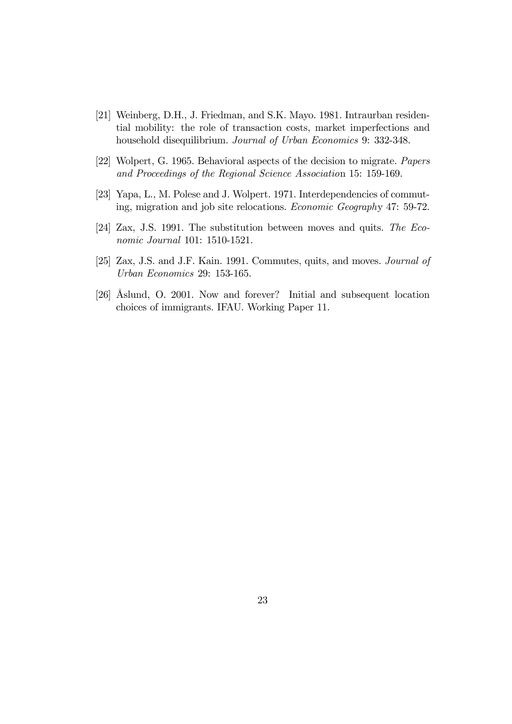- [21] Weinberg, D.H., J. Friedman, and S.K. Mayo. 1981. Intraurban residential mobility: the role of transaction costs, market imperfections and household disequilibrium. Journal of Urban Economics 9: 332-348.
- [22] Wolpert, G. 1965. Behavioral aspects of the decision to migrate. Papers and Proceedings of the Regional Science Association 15: 159-169.
- [23] Yapa, L., M. Polese and J. Wolpert. 1971. Interdependencies of commuting, migration and job site relocations. Economic Geography 47: 59-72.
- [24] Zax, J.S. 1991. The substitution between moves and quits. The Economic Journal 101: 1510-1521.
- [25] Zax, J.S. and J.F. Kain. 1991. Commutes, quits, and moves. Journal of Urban Economics 29: 153-165.
- [26] Åslund, O. 2001. Now and forever? Initial and subsequent location choices of immigrants. IFAU. Working Paper 11.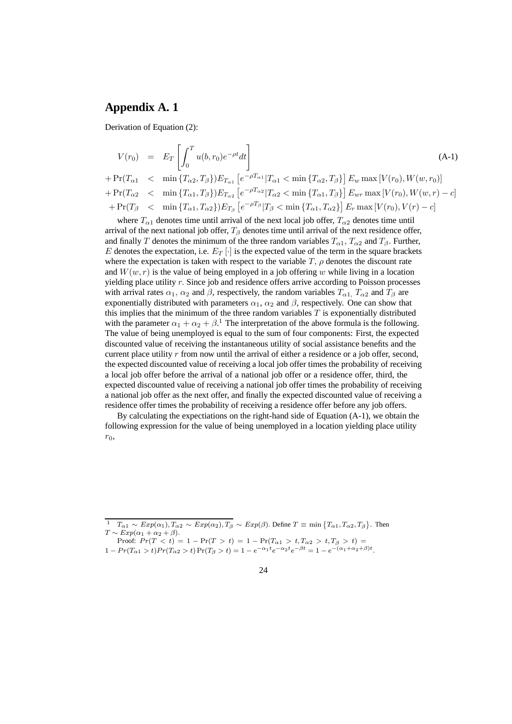#### **Appendix A. 1**

Derivation of Equation (2):

$$
V(r_0) = E_T \left[ \int_0^T u(b, r_0) e^{-\rho t} dt \right]
$$
\n
$$
+ \Pr(T_{\alpha 1} < \min \{T_{\alpha 2}, T_{\beta}\}) E_{T_{\alpha 1}} \left[ e^{-\rho T_{\alpha 1}} | T_{\alpha 1} < \min \{T_{\alpha 2}, T_{\beta}\} \right] E_w \max [V(r_0), W(w, r_0)]
$$
\n
$$
+ \Pr(T_{\alpha 2} < \min \{T_{\alpha 1}, T_{\beta}\}) E_{T_{\alpha 2}} \left[ e^{-\rho T_{\alpha 2}} | T_{\alpha 2} < \min \{T_{\alpha 1}, T_{\beta}\} \right] E_{wr} \max [V(r_0), W(w, r) - c]
$$
\n
$$
+ \Pr(T_{\beta} < \min \{T_{\alpha 1}, T_{\alpha 2}\}) E_{T_{\beta}} \left[ e^{-\rho T_{\beta}} | T_{\beta} < \min \{T_{\alpha 1}, T_{\alpha 2}\} \right] E_r \max [V(r_0), V(r) - c]
$$
\n(A-1)

where  $T_{\alpha1}$  denotes time until arrival of the next local job offer,  $T_{\alpha2}$  denotes time until arrival of the next national job offer,  $T_\beta$  denotes time until arrival of the next residence offer, and finally T denotes the minimum of the three random variables  $T_{\alpha1}$ ,  $T_{\alpha2}$  and  $T_{\beta}$ . Further, E denotes the expectation, i.e.  $E_T$  | is the expected value of the term in the square brackets where the expectation is taken with respect to the variable  $T$ ,  $\rho$  denotes the discount rate and  $W(w, r)$  is the value of being employed in a job offering w while living in a location yielding place utility r. Since job and residence offers arrive according to Poisson processes with arrival rates  $\alpha_1$ ,  $\alpha_2$  and  $\beta$ , respectively, the random variables  $T_{\alpha 1}$ ,  $T_{\alpha 2}$  and  $T_{\beta}$  are exponentially distributed with parameters  $\alpha_1$ ,  $\alpha_2$  and  $\beta$ , respectively. One can show that this implies that the minimum of the three random variables  $T$  is exponentially distributed with the parameter  $\alpha_1 + \alpha_2 + \beta$ .<sup>1</sup> The interpretation of the above formula is the following. The value of being unemployed is equal to the sum of four components: First, the expected discounted value of receiving the instantaneous utility of social assistance benefits and the current place utility r from now until the arrival of either a residence or a job offer, second, the expected discounted value of receiving a local job offer times the probability of receiving a local job offer before the arrival of a national job offer or a residence offer, third, the expected discounted value of receiving a national job offer times the probability of receiving a national job offer as the next offer, and finally the expected discounted value of receiving a residence offer times the probability of receiving a residence offer before any job offers.

By calculating the expectiations on the right-hand side of Equation (A-1), we obtain the following expression for the value of being unemployed in a location yielding place utility  $r_0$ ,

- Proof:  $Pr(T < t) = 1 Pr(T > t) = 1 Pr(T_{\alpha 1} > t, T_{\alpha 2} > t, T_{\beta} > t)$  $1 - Pr(T_{\alpha 1} > t) Pr(T_{\alpha 2} > t) Pr(T_{\beta} > t) = 1 - e^{-\alpha_1 t}e^{-\alpha_2 t}e^{-\beta t} = 1 - e^{-(\alpha_1 + \alpha_2 + \beta)t}.$ 
	- 24

 $\frac{1}{T_{\alpha 1}} \sim Exp(\alpha_1), \frac{T_{\alpha 2}}{T_{\alpha 2}} \sim Exp(\alpha_2), T_{\beta} \sim Exp(\beta)$ . Define  $T \equiv \min \{T_{\alpha 1}, T_{\alpha 2}, T_{\beta}\}$ . Then  $T \sim Exp(\alpha_1 + \alpha_2 + \beta).$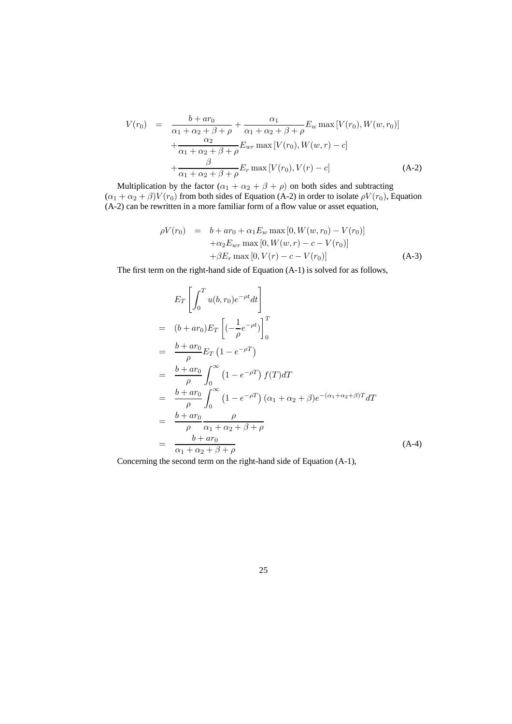$$
V(r_0) = \frac{b + ar_0}{\alpha_1 + \alpha_2 + \beta + \rho} + \frac{\alpha_1}{\alpha_1 + \alpha_2 + \beta + \rho} E_w \max [V(r_0), W(w, r_0)] + \frac{\alpha_2}{\alpha_1 + \alpha_2 + \beta + \rho} E_{wr} \max [V(r_0), W(w, r) - c] + \frac{\beta}{\alpha_1 + \alpha_2 + \beta + \rho} E_r \max [V(r_0), V(r) - c]
$$
 (A-2)

Multiplication by the factor  $(\alpha_1 + \alpha_2 + \beta + \rho)$  on both sides and subtracting  $(\alpha_1 + \alpha_2 + \beta)V(r_0)$  from both sides of Equation (A-2) in order to isolate  $\rho V(r_0)$ , Equation (A-2) can be rewritten in a more familiar form of a flow value or asset equation,

$$
\rho V(r_0) = b + ar_0 + \alpha_1 E_w \max [0, W(w, r_0) - V(r_0)] \n+ \alpha_2 E_{wr} \max [0, W(w, r) - c - V(r_0)] \n+ \beta E_r \max [0, V(r) - c - V(r_0)]
$$
\n(A-3)

The first term on the right-hand side of Equation (A-1) is solved for as follows,

$$
E_T \left[ \int_0^T u(b, r_0) e^{-\rho t} dt \right]
$$
  
=  $(b + ar_0) E_T \left[ (-\frac{1}{\rho} e^{-\rho t}) \right]_0^T$   
=  $\frac{b + ar_0}{\rho} E_T (1 - e^{-\rho T})$   
=  $\frac{b + ar_0}{\rho} \int_0^\infty (1 - e^{-\rho T}) f(T) dT$   
=  $\frac{b + ar_0}{\rho} \int_0^\infty (1 - e^{-\rho T}) (\alpha_1 + \alpha_2 + \beta) e^{-(\alpha_1 + \alpha_2 + \beta)T} dT$   
=  $\frac{b + ar_0}{\rho} \frac{\rho}{\alpha_1 + \alpha_2 + \beta + \rho}$   
=  $\frac{b + ar_0}{\alpha_1 + \alpha_2 + \beta + \rho}$  (A-4)

Concerning the second term on the right-hand side of Equation (A-1),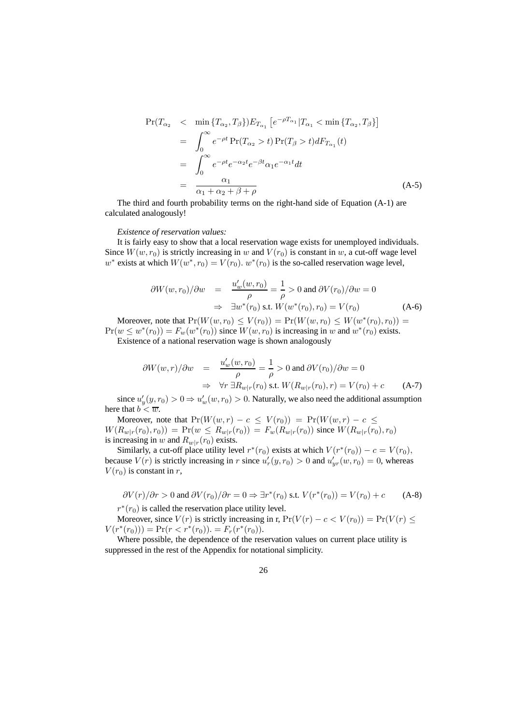$$
\Pr(T_{\alpha_2} < \min \{T_{\alpha_2}, T_{\beta}\}) E_{T_{\alpha_1}} \left[e^{-\rho T_{\alpha_1}} | T_{\alpha_1} < \min \{T_{\alpha_2}, T_{\beta}\}\right]
$$
\n
$$
= \int_0^\infty e^{-\rho t} \Pr(T_{\alpha_2} > t) \Pr(T_{\beta} > t) dF_{T_{\alpha_1}}(t)
$$
\n
$$
= \int_0^\infty e^{-\rho t} e^{-\alpha_2 t} e^{-\beta t} \alpha_1 e^{-\alpha_1 t} dt
$$
\n
$$
= \frac{\alpha_1}{\alpha_1 + \alpha_2 + \beta + \rho} \tag{A-5}
$$

The third and fourth probability terms on the right-hand side of Equation (A-1) are calculated analogously!

#### *Existence of reservation values:*

It is fairly easy to show that a local reservation wage exists for unemployed individuals. Since  $W(w, r_0)$  is strictly increasing in w and  $V(r_0)$  is constant in w, a cut-off wage level w<sup>∗</sup> exists at which  $W(w^*, r_0) = V(r_0)$ .  $w^*(r_0)$  is the so-called reservation wage level,

$$
\frac{\partial W(w, r_0)}{\partial w} = \frac{u'_w(w, r_0)}{\rho} = \frac{1}{\rho} > 0 \text{ and } \frac{\partial V(r_0)}{\partial w} = 0
$$
  

$$
\Rightarrow \exists w^*(r_0) \text{ s.t. } W(w^*(r_0), r_0) = V(r_0)
$$
(A-6)

Moreover, note that  $Pr(W(w, r_0) \le V(r_0)) = Pr(W(w, r_0) \le W(w^*(r_0), r_0)) =$  $Pr(w \leq w^*(r_0)) = F_w(w^*(r_0))$  since  $W(w, r_0)$  is increasing in w and  $w^*(r_0)$  exists. Existence of a national reservation wage is shown analogously

$$
\partial W(w,r)/\partial w = \frac{u'_w(w,r_0)}{\rho} = \frac{1}{\rho} > 0 \text{ and } \partial V(r_0)/\partial w = 0
$$
  

$$
\Rightarrow \forall r \exists R_{w|r}(r_0) \text{ s.t. } W(R_{w|r}(r_0),r) = V(r_0) + c \qquad (A-7)
$$

since  $u'_y(y, r_0) > 0 \Rightarrow u'_w(w, r_0) > 0$ . Naturally, we also need the additional assumption here that  $b < \overline{w}$ .

Moreover, note that  $Pr(W(w, r) - c \leq V(r_0)) = Pr(W(w, r) - c \leq$  $W(R_{w|r}(r_0), r_0) = Pr(w \leq R_{w|r}(r_0)) = F_w(R_{w|r}(r_0))$  since  $W(R_{w|r}(r_0), r_0)$ is increasing in w and  $R_{w|r}(r_0)$  exists.

Similarly, a cut-off place utility level  $r^*(r_0)$  exists at which  $V(r^*(r_0)) - c = V(r_0)$ , because  $V(r)$  is strictly increasing in r since  $u'_r(y, r_0) > 0$  and  $u'_{yr}(w, r_0) = 0$ , whereas  $V(r_0)$  is constant in r,

$$
\frac{\partial V(r)}{\partial r} > 0 \text{ and } \frac{\partial V(r_0)}{\partial r} = 0 \Rightarrow \exists r^*(r_0) \text{ s.t. } V(r^*(r_0)) = V(r_0) + c \qquad \text{(A-8)}
$$
  

$$
r^*(r_0) \text{ is called the reservation place utility level.}
$$

Moreover, since  $V(r)$  is strictly increasing in r,  $Pr(V(r) - c < V(r_0)) = Pr(V(r) \le$  $V(r^*(r_0))) = Pr(r < r^*(r_0)) = F_r(r^*(r_0)).$ 

Where possible, the dependence of the reservation values on current place utility is suppressed in the rest of the Appendix for notational simplicity.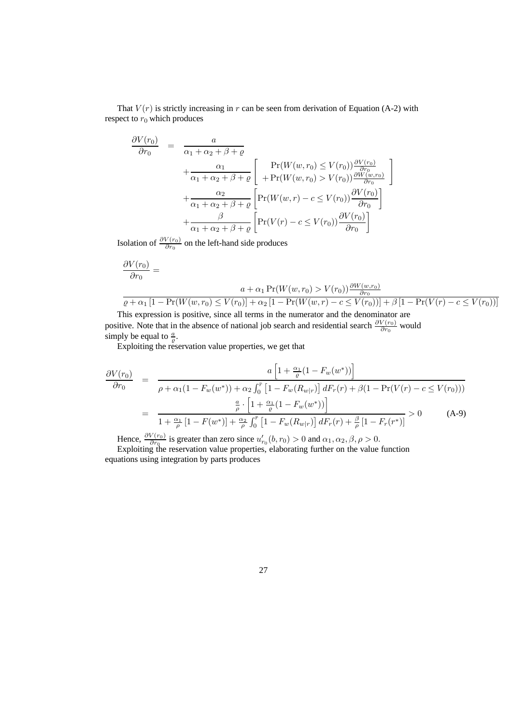That  $V(r)$  is strictly increasing in r can be seen from derivation of Equation (A-2) with respect to  $r_0$  which produces

$$
\frac{\partial V(r_0)}{\partial r_0} = \frac{a}{\alpha_1 + \alpha_2 + \beta + \varrho} + \frac{\alpha_1}{\alpha_1 + \alpha_2 + \beta + \varrho} \left[ \frac{\Pr(W(w, r_0) \le V(r_0)) \frac{\partial V(r_0)}{\partial r_0}}{+ \Pr(W(w, r_0) > V(r_0)) \frac{\partial W(w, r_0)}{\partial r_0}} + \frac{\alpha_2}{\alpha_1 + \alpha_2 + \beta + \varrho} \left[ \Pr(W(w, r) - c \le V(r_0)) \frac{\partial V(r_0)}{\partial r_0} \right] + \frac{\beta}{\alpha_1 + \alpha_2 + \beta + \varrho} \left[ \Pr(V(r) - c \le V(r_0)) \frac{\partial V(r_0)}{\partial r_0} \right]
$$

Isolation of  $\frac{\partial V(r_0)}{\partial r_0}$  on the left-hand side produces

$$
\frac{\partial V(r_0)}{\partial r_0} = \frac{a + \alpha_1 \Pr(W(w, r_0) > V(r_0)) \frac{\partial W(w, r_0)}{\partial r_0}}{a + \alpha_1 \left[1 - \Pr(W(w, r_0) \le V(r_0)\right] + \alpha_2 \left[1 - \Pr(W(w, r) - c \le V(r_0))\right] + \beta \left[1 - \Pr(V(r) - c \le V(r_0))\right]}
$$

1

This expression is positive, since all terms in the numerator and the denominator are positive. Note that in the absence of national job search and residential search  $\frac{\partial V(r_0)}{\partial r_0}$  would simply be equal to  $\frac{a}{\varrho}$ .

Exploiting the reservation value properties, we get that

$$
\frac{\partial V(r_0)}{\partial r_0} = \frac{a \left[1 + \frac{\alpha_1}{\varrho} (1 - F_w(w^*))\right]}{\rho + \alpha_1 (1 - F_w(w^*)) + \alpha_2 \int_0^{\bar{r}} \left[1 - F_w(R_{w|r})\right] dF_r(r) + \beta(1 - \Pr(V(r) - c \le V(r_0)))}
$$
\n
$$
= \frac{\frac{a}{\rho} \cdot \left[1 + \frac{\alpha_1}{\varrho} (1 - F_w(w^*))\right]}{1 + \frac{\alpha_1}{\rho} \left[1 - F(w^*)\right] + \frac{\alpha_2}{\rho} \int_0^{\bar{r}} \left[1 - F_w(R_{w|r})\right] dF_r(r) + \frac{\beta}{\rho} \left[1 - F_r(r^*)\right]} > 0 \tag{A-9}
$$

Hence,  $\frac{\partial V(r_0)}{\partial r_0}$  is greater than zero since  $u'_{r_0}(b, r_0) > 0$  and  $\alpha_1, \alpha_2, \beta, \rho > 0$ . Exploiting the reservation value properties, elaborating further on the value function equations using integration by parts produces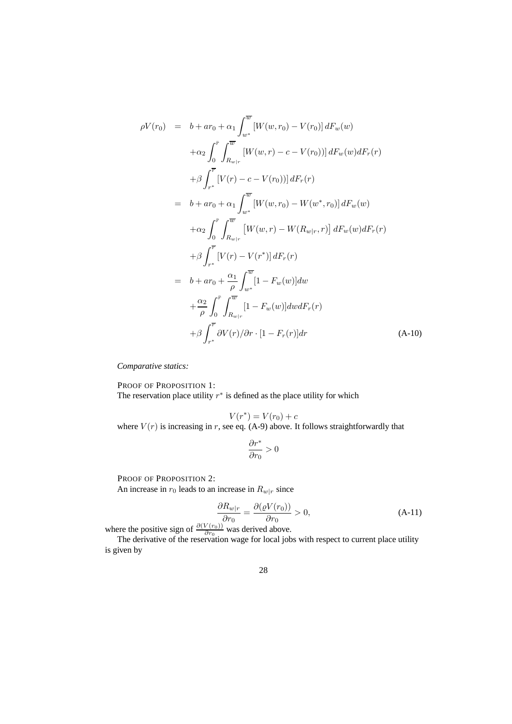$$
\rho V(r_0) = b + ar_0 + \alpha_1 \int_{w^*}^{\overline{w}} [W(w, r_0) - V(r_0)] dF_w(w) \n+ \alpha_2 \int_0^{\overline{r}} \int_{R_{w|r}}^{\overline{w}} [W(w, r) - c - V(r_0))] dF_w(w) dF_r(r) \n+ \beta \int_{r^*}^{\overline{r}} [V(r) - c - V(r_0))] dF_r(r) \n= b + ar_0 + \alpha_1 \int_{w^*}^{\overline{w}} [W(w, r_0) - W(w^*, r_0)] dF_w(w) \n+ \alpha_2 \int_0^{\overline{r}} \int_{R_{w|r}}^{\overline{w}} [W(w, r) - W(R_{w|r}, r)] dF_w(w) dF_r(r) \n+ \beta \int_{r^*}^{\overline{r}} [V(r) - V(r^*)] dF_r(r) \n= b + ar_0 + \frac{\alpha_1}{\rho} \int_{w^*}^{\overline{w}} [1 - F_w(w)] dw \n+ \frac{\alpha_2}{\rho} \int_0^{\overline{r}} \int_{R_{w|r}}^{\overline{w}} [1 - F_w(w)] dwdF_r(r) \n+ \beta \int_{r^*}^{\overline{r}} \partial V(r) / \partial r \cdot [1 - F_r(r)] dr \qquad (A-10)
$$

*Comparative statics:*

PROOF OF PROPOSITION 1: The reservation place utility  $r^*$  is defined as the place utility for which

$$
V(r^*) = V(r_0) + c
$$

where  $V(r)$  is increasing in r, see eq. (A-9) above. It follows straightforwardly that

$$
\frac{\partial r^*}{\partial r_0} > 0
$$

PROOF OF PROPOSITION 2:

An increase in  $r_0$  leads to an increase in  $R_{w|r}$  since

$$
\frac{\partial R_{w|r}}{\partial r_0} = \frac{\partial (\varrho V(r_0))}{\partial r_0} > 0,
$$
\n(A-11)

where the positive sign of  $\frac{\partial (V(r_0))}{\partial r_0}$  was derived above.

The derivative of the reservation wage for local jobs with respect to current place utility is given by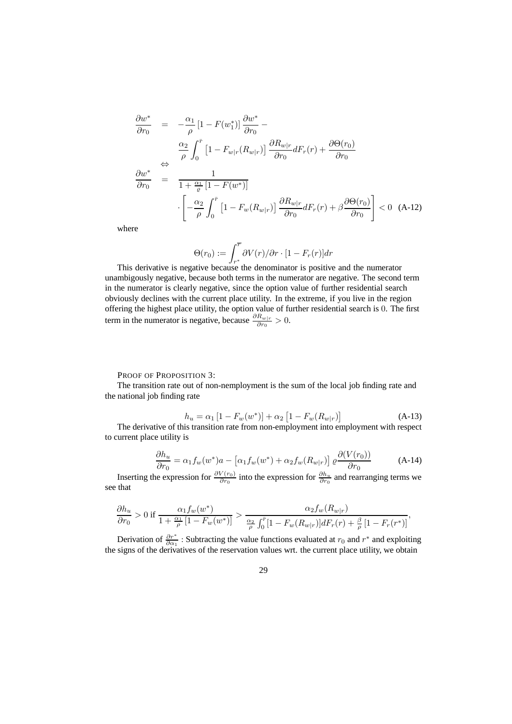$$
\frac{\partial w^*}{\partial r_0} = -\frac{\alpha_1}{\rho} \left[ 1 - F(w_1^*) \right] \frac{\partial w^*}{\partial r_0} -
$$
\n
$$
\frac{\alpha_2}{\rho} \int_0^r \left[ 1 - F_{w|r}(R_{w|r}) \right] \frac{\partial R_{w|r}}{\partial r_0} dF_r(r) + \frac{\partial \Theta(r_0)}{\partial r_0}
$$
\n
$$
\frac{\partial w^*}{\partial r_0} = \frac{1}{1 + \frac{\alpha_1}{\rho} \left[ 1 - F(w^*) \right]}
$$
\n
$$
\cdot \left[ -\frac{\alpha_2}{\rho} \int_0^{\bar{r}} \left[ 1 - F_w(R_{w|r}) \right] \frac{\partial R_{w|r}}{\partial r_0} dF_r(r) + \beta \frac{\partial \Theta(r_0)}{\partial r_0} \right] < 0 \quad \text{(A-12)}
$$

where

$$
\Theta(r_0) := \int_{r^*}^{\overline{r}} \partial V(r) / \partial r \cdot [1 - F_r(r)] dr
$$

This derivative is negative because the denominator is positive and the numerator unambigously negative, because both terms in the numerator are negative. The second term in the numerator is clearly negative, since the option value of further residential search obviously declines with the current place utility. In the extreme, if you live in the region offering the highest place utility, the option value of further residential search is 0. The first term in the numerator is negative, because  $\frac{\partial R_{w|r}}{\partial r_0} > 0$ .

PROOF OF PROPOSITION 3:

The transition rate out of non-nemployment is the sum of the local job finding rate and the national job finding rate

$$
h_u = \alpha_1 [1 - F_w(w^*)] + \alpha_2 [1 - F_w(R_{w|r})]
$$
 (A-13)

The derivative of this transition rate from non-employment into employment with respect to current place utility is

$$
\frac{\partial h_u}{\partial r_0} = \alpha_1 f_w(w^*)a - \left[\alpha_1 f_w(w^*) + \alpha_2 f_w(R_{w|r})\right] \varrho \frac{\partial (V(r_0))}{\partial r_0} \tag{A-14}
$$

Inserting the expression for  $\frac{\partial V(r_0)}{\partial r_0}$  into the expression for  $\frac{\partial h_u}{\partial r_0}$  and rearranging terms we see that

$$
\frac{\partial h_u}{\partial r_0} > 0 \text{ if } \frac{\alpha_1 f_w(w^*)}{1 + \frac{\alpha_1}{\rho} \left[1 - F_w(w^*)\right]} > \frac{\alpha_2 f_w(R_{w|r})}{\frac{\alpha_2}{\rho} \int_0^{\bar{r}} \left[1 - F_w(R_{w|r})\right] dF_r(r) + \frac{\beta}{\rho} \left[1 - F_r(r^*)\right]},
$$

Derivation of  $\frac{\partial r^*}{\partial \alpha_1}$ : Subtracting the value functions evaluated at  $r_0$  and  $r^*$  and exploiting the signs of the derivatives of the reservation values wrt. the current place utility, we obtain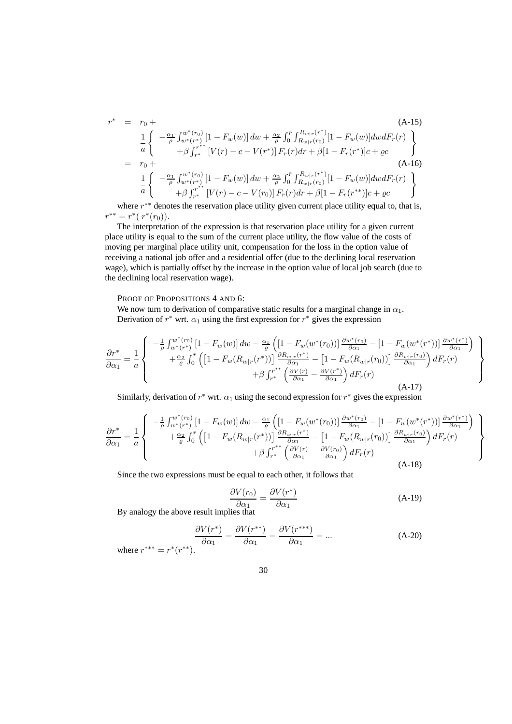$$
r^* = r_0 +
$$
\n
$$
\frac{1}{a} \begin{cases}\n-\frac{\alpha_1}{\rho} \int_{w^*(r^*)}^{w^*(r_0)} [1 - F_w(w)] \, dw + \frac{\alpha_2}{\rho} \int_0^r \int_{R_{w|r}(r_0)}^{R_{w|r}(r^*)} [1 - F_w(w)] \, dw \, dF_r(r) \\
+\beta \int_{r^*}^{r^*} [V(r) - c - V(r^*)] \, F_r(r) \, dr + \beta [1 - F_r(r^*)] c + \varrho c\n\end{cases}
$$
\n
$$
= r_0 +
$$
\n
$$
\frac{1}{a} \begin{cases}\n-\frac{\alpha_1}{\rho} \int_{w^*(r^*)}^{w^*(r_0)} [1 - F_w(w)] \, dw + \frac{\alpha_2}{\rho} \int_0^r \int_{R_{w|r}(r_0)}^{R_{w|r}(r^*)} [1 - F_w(w)] \, dw \, dF_r(r) \\
+\beta \int_{r^*}^{r^{**}} [V(r) - c - V(r_0)] \, F_r(r) \, dr + \beta [1 - F_r(r^{**})] c + \varrho c\n\end{cases}
$$
\n
$$
(A-15)
$$

where  $r^*$ <sup>∗</sup> denotes the reservation place utility given current place utility equal to, that is,  $r^{**} = r^* (r^*(r_0)).$ 

The interpretation of the expression is that reservation place utility for a given current place utility is equal to the sum of the current place utility, the flow value of the costs of moving per marginal place utility unit, compensation for the loss in the option value of receiving a national job offer and a residential offer (due to the declining local reservation wage), which is partially offset by the increase in the option value of local job search (due to the declining local reservation wage).

#### PROOF OF PROPOSITIONS 4 AND 6:

We now turn to derivation of comparative static results for a marginal change in  $\alpha_1$ . Derivation of  $r^*$  wrt.  $\alpha_1$  using the first expression for  $r^*$  gives the expression

$$
\frac{\partial r^*}{\partial \alpha_1} = \frac{1}{a} \left\{ \begin{array}{c} -\frac{1}{\rho} \int_{w^*(r^*)}^{w^*(r_0)} \left[1 - F_w(w)\right] dw - \frac{\alpha_1}{\varrho} \left( \left[1 - F_w(w^*(r_0))\right] \frac{\partial w^*(r_0)}{\partial \alpha_1} - \left[1 - F_w(w^*(r^*))\right] \frac{\partial w^*(r^*)}{\partial \alpha_1} \right) \\ + \frac{\alpha_2}{\varrho} \int_0^{\bar{r}} \left( \left[1 - F_w(R_{w|r}(r^*))\right] \frac{\partial R_{w|r}(r^*)}{\partial \alpha_1} - \left[1 - F_w(R_{w|r}(r_0))\right] \frac{\partial R_{w|r}(r_0)}{\partial \alpha_1} \right) dF_r(r) \\ + \beta \int_{r^*}^{r^{**}} \left( \frac{\partial V(r)}{\partial \alpha_1} - \frac{\partial V(r^*)}{\partial \alpha_1} \right) dF_r(r) \end{array} \right\} (A-17)
$$

Similarly, derivation of  $r^*$  wrt.  $\alpha_1$  using the second expression for  $r^*$  gives the expression

$$
\frac{\partial r^*}{\partial \alpha_1} = \frac{1}{a} \begin{cases}\n-\frac{1}{\rho} \int_{w^*(r^*)}^{w^*(r_0)} \left[1 - F_w(w)\right] dw - \frac{\alpha_1}{\varrho} \left(\left[1 - F_w(w^*(r_0))\right] \frac{\partial w^*(r_0)}{\partial \alpha_1} - \left[1 - F_w(w^*(r^*))\right] \frac{\partial w^*(r^*)}{\partial \alpha_1}\right) \\
+ \frac{\alpha_2}{\varrho} \int_0^{\bar{r}} \left(\left[1 - F_w(R_{w|r}(r^*))\right] \frac{\partial R_{w|r}(r^*)}{\partial \alpha_1} - \left[1 - F_w(R_{w|r}(r_0))\right] \frac{\partial R_{w|r}(r_0)}{\partial \alpha_1}\right) dF_r(r) \\
+ \beta \int_{r^*}^{r^{**}} \left(\frac{\partial V(r)}{\partial \alpha_1} - \frac{\partial V(r_0)}{\partial \alpha_1}\right) dF_r(r)\n\end{cases} (A-18)
$$

Since the two expressions must be equal to each other, it follows that

$$
\frac{\partial V(r_0)}{\partial \alpha_1} = \frac{\partial V(r^*)}{\partial \alpha_1} \tag{A-19}
$$

 $\mathbf{A}$  $\overline{\mathcal{L}}$ 

 $\int$ 

By analogy the above result implies that

$$
\frac{\partial V(r^*)}{\partial \alpha_1} = \frac{\partial V(r^{**})}{\partial \alpha_1} = \frac{\partial V(r^{***})}{\partial \alpha_1} = \dots
$$
 (A-20)  
where  $r^{***} = r^*(r^{**})$ .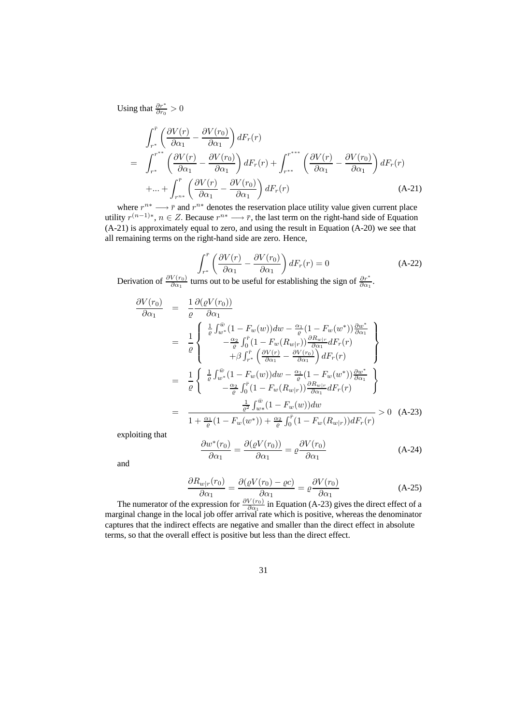Using that  $\frac{\partial r^*}{\partial r_0} > 0$ 

$$
\int_{r^{*}}^{\bar{r}} \left( \frac{\partial V(r)}{\partial \alpha_{1}} - \frac{\partial V(r_{0})}{\partial \alpha_{1}} \right) dF_{r}(r)
$$
\n
$$
= \int_{r^{*}}^{r^{**}} \left( \frac{\partial V(r)}{\partial \alpha_{1}} - \frac{\partial V(r_{0})}{\partial \alpha_{1}} \right) dF_{r}(r) + \int_{r^{**}}^{r^{***}} \left( \frac{\partial V(r)}{\partial \alpha_{1}} - \frac{\partial V(r_{0})}{\partial \alpha_{1}} \right) dF_{r}(r)
$$
\n
$$
+ ... + \int_{r^{n*}}^{r} \left( \frac{\partial V(r)}{\partial \alpha_{1}} - \frac{\partial V(r_{0})}{\partial \alpha_{1}} \right) dF_{r}(r) \qquad (A-21)
$$

where  $r^{n*} \longrightarrow \overline{r}$  and  $r^{n*}$  denotes the reservation place utility value given current place utility  $r^{(n-1)*}$ ,  $n \in \mathbb{Z}$ . Because  $r^{n*} \longrightarrow \overline{r}$ , the last term on the right-hand side of Equation (A-21) is approximately equal to zero, and using the result in Equation (A-20) we see that all remaining terms on the right-hand side are zero. Hence,

$$
\int_{r^*}^{\bar{r}} \left( \frac{\partial V(r)}{\partial \alpha_1} - \frac{\partial V(r_0)}{\partial \alpha_1} \right) dF_r(r) = 0
$$
\n(A-22)

Derivation of  $\frac{\partial V(r_0)}{\partial \alpha_1}$  turns out to be useful for establishing the sign of  $\frac{\partial r^*}{\partial \alpha_1}$ .

$$
\frac{\partial V(r_0)}{\partial \alpha_1} = \frac{1}{\varrho} \frac{\partial (\varrho V(r_0))}{\partial \alpha_1}
$$
\n
$$
= \frac{1}{\varrho} \left\{ \begin{array}{l} \frac{1}{\varrho} \int_{w^*}^{\bar{w}} (1 - F_w(w)) dw - \frac{\alpha_1}{\varrho} (1 - F_w(w^*)) \frac{\partial w^*}{\partial \alpha_1} \\ -\frac{\alpha_2}{\varrho} \int_0^{\bar{r}} (1 - F_w(R_{w|r})) \frac{\partial R_{w|r}}{\partial \alpha_1} dF_r(r) \\ + \beta \int_{r^*}^{\bar{r}} \left( \frac{\partial V(r)}{\partial \alpha_1} - \frac{\partial V(r_0)}{\partial \alpha_1} \right) dF_r(r) \end{array} \right\}
$$
\n
$$
= \frac{1}{\varrho} \left\{ \begin{array}{l} \frac{1}{\varrho} \int_{w^*}^{\bar{w}} (1 - F_w(w)) dw - \frac{\alpha_1}{\varrho} (1 - F_w(w^*)) \frac{\partial w^*}{\partial \alpha_1} \\ -\frac{\alpha_2}{\varrho} \int_0^{\bar{r}} (1 - F_w(R_{w|r})) \frac{\partial R_{w|r}}{\partial \alpha_1} dF_r(r) \end{array} \right\}
$$
\n
$$
= \frac{\frac{1}{\varrho^2} \int_{w^*}^{\bar{w}} (1 - F_w(w)) dw}{1 + \frac{\alpha_1}{\varrho} (1 - F_w(w^*)) + \frac{\alpha_2}{\varrho} \int_0^{\bar{r}} (1 - F_w(R_{w|r})) dF_r(r)} > 0 \quad \text{(A-23)}
$$

exploiting that

$$
\frac{\partial w^*(r_0)}{\partial \alpha_1} = \frac{\partial (\varrho V(r_0))}{\partial \alpha_1} = \varrho \frac{\partial V(r_0)}{\partial \alpha_1}
$$
 (A-24)

and

$$
\frac{\partial R_{w|r}(r_0)}{\partial \alpha_1} = \frac{\partial (\varrho V(r_0) - \varrho c)}{\partial \alpha_1} = \varrho \frac{\partial V(r_0)}{\partial \alpha_1}
$$
(A-25)

The numerator of the expression for  $\frac{\partial V(r_0)}{\partial \alpha_1}$  in Equation (A-23) gives the direct effect of a marginal change in the local job offer arrival rate which is positive, whereas the denominator captures that the indirect effects are negative and smaller than the direct effect in absolute terms, so that the overall effect is positive but less than the direct effect.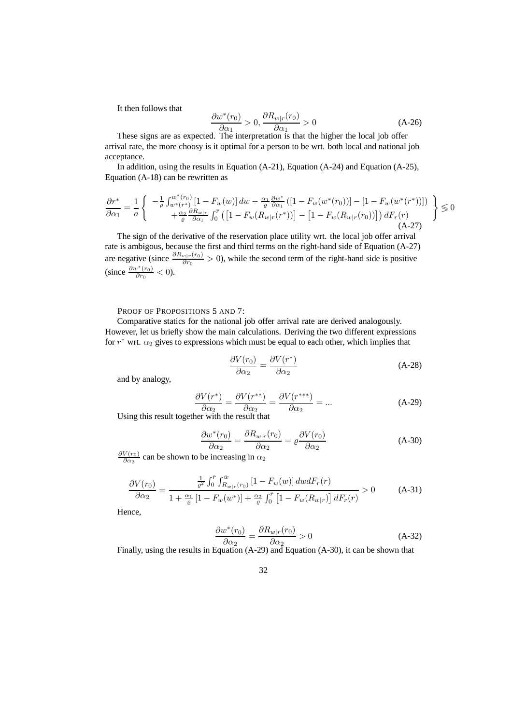It then follows that

$$
\frac{\partial w^*(r_0)}{\partial \alpha_1} > 0, \frac{\partial R_{w|r}(r_0)}{\partial \alpha_1} > 0
$$
\n(A-26)

These signs are as expected. The interpretation is that the higher the local job offer arrival rate, the more choosy is it optimal for a person to be wrt. both local and national job acceptance.

In addition, using the results in Equation (A-21), Equation (A-24) and Equation (A-25), Equation (A-18) can be rewritten as

$$
\frac{\partial r^*}{\partial \alpha_1} = \frac{1}{a} \left\{ \begin{array}{c} -\frac{1}{\rho} \int_{w^*(r^*)}^{w^*(r_0)} \left[1 - F_w(w)\right] dw - \frac{\alpha_1}{\varrho} \frac{\partial w^*}{\partial \alpha_1} \left( \left[1 - F_w(w^*(r_0))\right] - \left[1 - F_w(w^*(r^*))\right] \right) \\ + \frac{\alpha_2}{\varrho} \frac{\partial R_{w|r}}{\partial \alpha_1} \int_0^r \left( \left[1 - F_w(R_{w|r}(r^*))\right] - \left[1 - F_w(R_{w|r}(r_0))\right] \right) dF_r(r) \\ \text{(A-27)} \end{array} \right\} \leq 0
$$

The sign of the derivative of the reservation place utility wrt. the local job offer arrival rate is ambigous, because the first and third terms on the right-hand side of Equation (A-27) are negative (since  $\frac{\partial R_{w|r}(r_0)}{\partial r_0} > 0$ ), while the second term of the right-hand side is positive (since  $\frac{\partial w^*(r_0)}{\partial r_0} < 0$ ).

PROOF OF PROPOSITIONS 5 AND 7:

Comparative statics for the national job offer arrival rate are derived analogously. However, let us briefly show the main calculations. Deriving the two different expressions for  $r^*$  wrt.  $\alpha_2$  gives to expressions which must be equal to each other, which implies that

$$
\frac{\partial V(r_0)}{\partial \alpha_2} = \frac{\partial V(r^*)}{\partial \alpha_2} \tag{A-28}
$$

and by analogy,

$$
\frac{\partial V(r^*)}{\partial \alpha_2} = \frac{\partial V(r^{**})}{\partial \alpha_2} = \frac{\partial V(r^{***})}{\partial \alpha_2} = \dots
$$
 (A-29)

Using this result together with the result that

$$
\frac{\partial w^*(r_0)}{\partial \alpha_2} = \frac{\partial R_{w|r}(r_0)}{\partial \alpha_2} = \rho \frac{\partial V(r_0)}{\partial \alpha_2}
$$
 (A-30)

 $\frac{\partial V(r_0)}{\partial \alpha_2}$  can be shown to be increasing in  $\alpha_2$ 

$$
\frac{\partial V(r_0)}{\partial \alpha_2} = \frac{\frac{1}{\varrho^2} \int_0^{\bar{r}} \int_{R_{w|r}(r_0)}^{\bar{w}} [1 - F_w(w)] \, dw \, dF_r(r)}{1 + \frac{\alpha_1}{\varrho} \left[1 - F_w(w^*)\right] + \frac{\alpha_2}{\varrho} \int_0^{\bar{r}} \left[1 - F_w(R_{w|r})\right] \, dF_r(r)} > 0 \tag{A-31}
$$

Hence,

$$
\frac{\partial w^*(r_0)}{\partial \alpha_2} = \frac{\partial R_{w|r}(r_0)}{\partial \alpha_2} > 0
$$
\n(A-32)

Finally, using the results in Equation (A-29) and Equation (A-30), it can be shown that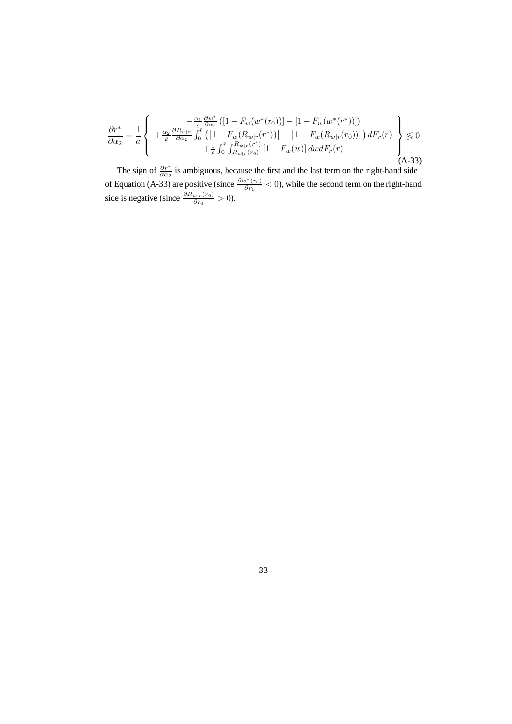$$
\frac{\partial r^*}{\partial \alpha_2} = \frac{1}{a} \left\{ \begin{array}{c} -\frac{\alpha_1}{\varrho} \frac{\partial w^*}{\partial \alpha_2} \left( \left[ 1 - F_w(w^*(r_0)) \right] - \left[ 1 - F_w(w^*(r^*)) \right] \right) \\ +\frac{\alpha_2}{\varrho} \frac{\partial R_{w|r}}{\partial \alpha_2} \int_0^r \left( \left[ 1 - F_w(R_{w|r}(r^*)) \right] - \left[ 1 - F_w(R_{w|r}(r_0)) \right] \right) dF_r(r) \\ +\frac{1}{\varrho} \int_0^r \int_{R_{w|r}(r_0)}^{R_{w|r}(r^*)} \left[ 1 - F_w(w) \right] dw dF_r(r) \end{array} \right\} \leq 0
$$
\n(A-33)

The sign of  $\frac{\partial r^*}{\partial \alpha_2}$  is ambiguous, because the first and the last term on the right-hand side of Equation (A-33) are positive (since  $\frac{\partial w^*(r_0)}{\partial r_0} < 0$ ), while the second term on the right-hand side is negative (since  $\frac{\partial R_{w|r}(r_0)}{\partial r_0} > 0$ ).